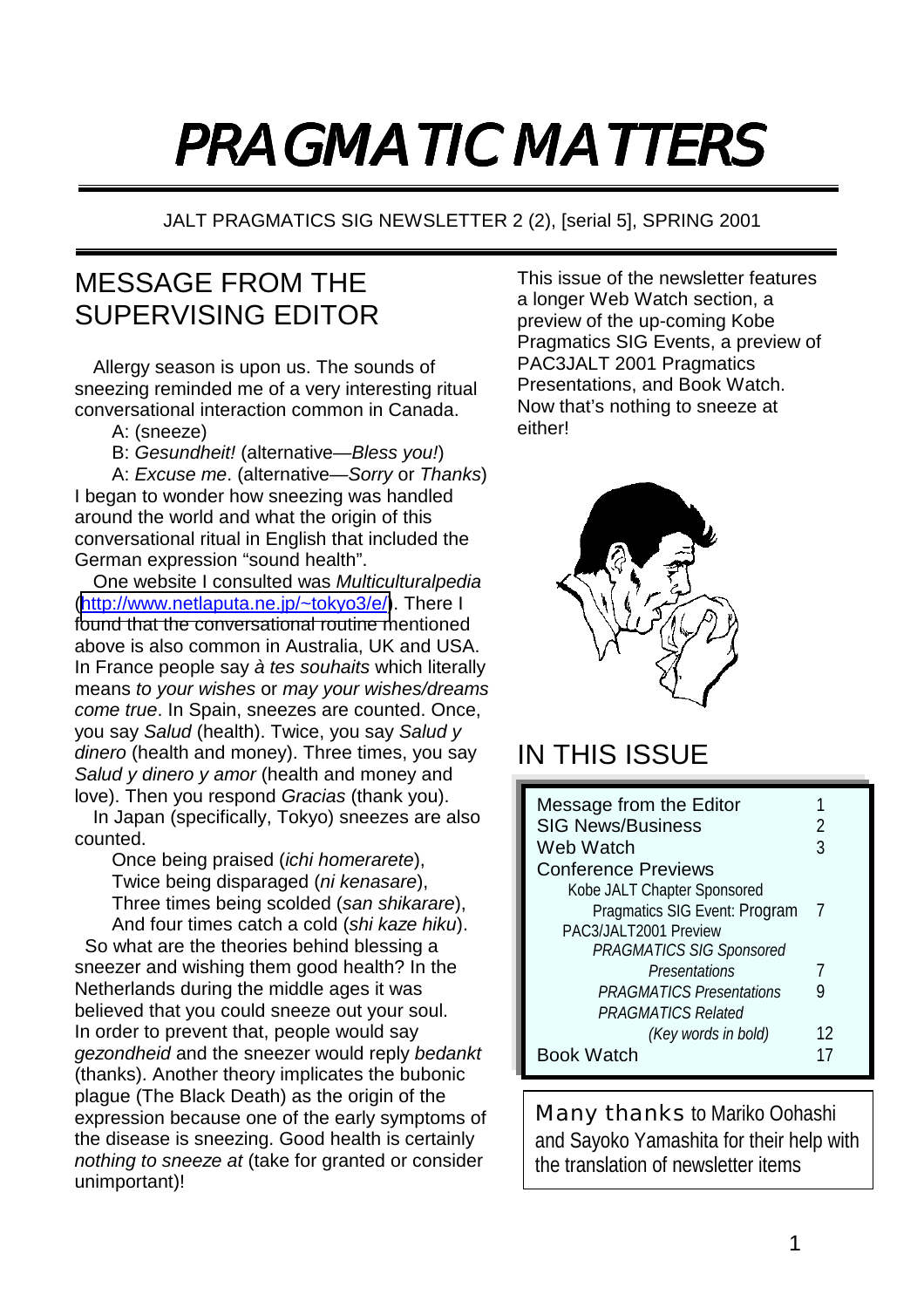# PRAGMATIC MATTERS

JALT PRAGMATICS SIG NEWSLETTER 2 (2), [serial 5], SPRING 2001

# MESSAGE FROM THE SUPERVISING EDITOR

Allergy season is upon us. The sounds of sneezing reminded me of a very interesting ritual conversational interaction common in Canada.

- A: (sneeze)
- B: *Gesundheit!* (alternative—*Bless you!*)

A: *Excuse me*. (alternative—*Sorry* or *Thanks*) I began to wonder how sneezing was handled around the world and what the origin of this conversational ritual in English that included the German expression "sound health".

One website I consulted was *Multiculturalpedia* ([http://www.netlaputa.ne.jp/~tokyo3/e/\)](http://www.netlaputa.ne.jp/~tokyo3/e/). There I found that the conversational routine mentioned above is also common in Australia, UK and USA. In France people say *à tes souhaits* which literally means *to your wishes* or *may your wishes/dreams come true*. In Spain, sneezes are counted. Once, you say *Salud* (health). Twice, you say *Salud y dinero* (health and money). Three times, you say *Salud y dinero y amor* (health and money and love). Then you respond *Gracias* (thank you).

In Japan (specifically, Tokyo) sneezes are also counted.

Once being praised (*ichi homerarete*), Twice being disparaged (*ni kenasare*), Three times being scolded (*san shikarare*),

And four times catch a cold (*shi kaze hiku*). So what are the theories behind blessing a sneezer and wishing them good health? In the Netherlands during the middle ages it was believed that you could sneeze out your soul. In order to prevent that, people would say *gezondheid* and the sneezer would reply *bedankt* (thanks). Another theory implicates the bubonic plague (The Black Death) as the origin of the expression because one of the early symptoms of the disease is sneezing. Good health is certainly *nothing to sneeze at* (take for granted or consider unimportant)!

This issue of the newsletter features a longer Web Watch section, a preview of the up-coming Kobe Pragmatics SIG Events, a preview of PAC3JALT 2001 Pragmatics Presentations, and Book Watch. Now that's nothing to sneeze at either!



# IN THIS ISSUE

| Message from the Editor         |    |
|---------------------------------|----|
| <b>SIG News/Business</b>        |    |
| Web Watch                       | 3  |
| <b>Conference Previews</b>      |    |
| Kobe JALT Chapter Sponsored     |    |
| Pragmatics SIG Event: Program   |    |
| PAC3/JALT2001 Preview           |    |
| PRAGMATICS SIG Sponsored        |    |
| Presentations                   |    |
| <b>PRAGMATICS Presentations</b> | y  |
| <b>PRAGMATICS Related</b>       |    |
| (Key words in bold)             | 12 |
| Book Watch                      |    |

Many thanks to Mariko Oohashi and Sayoko Yamashita for their help with the translation of newsletter items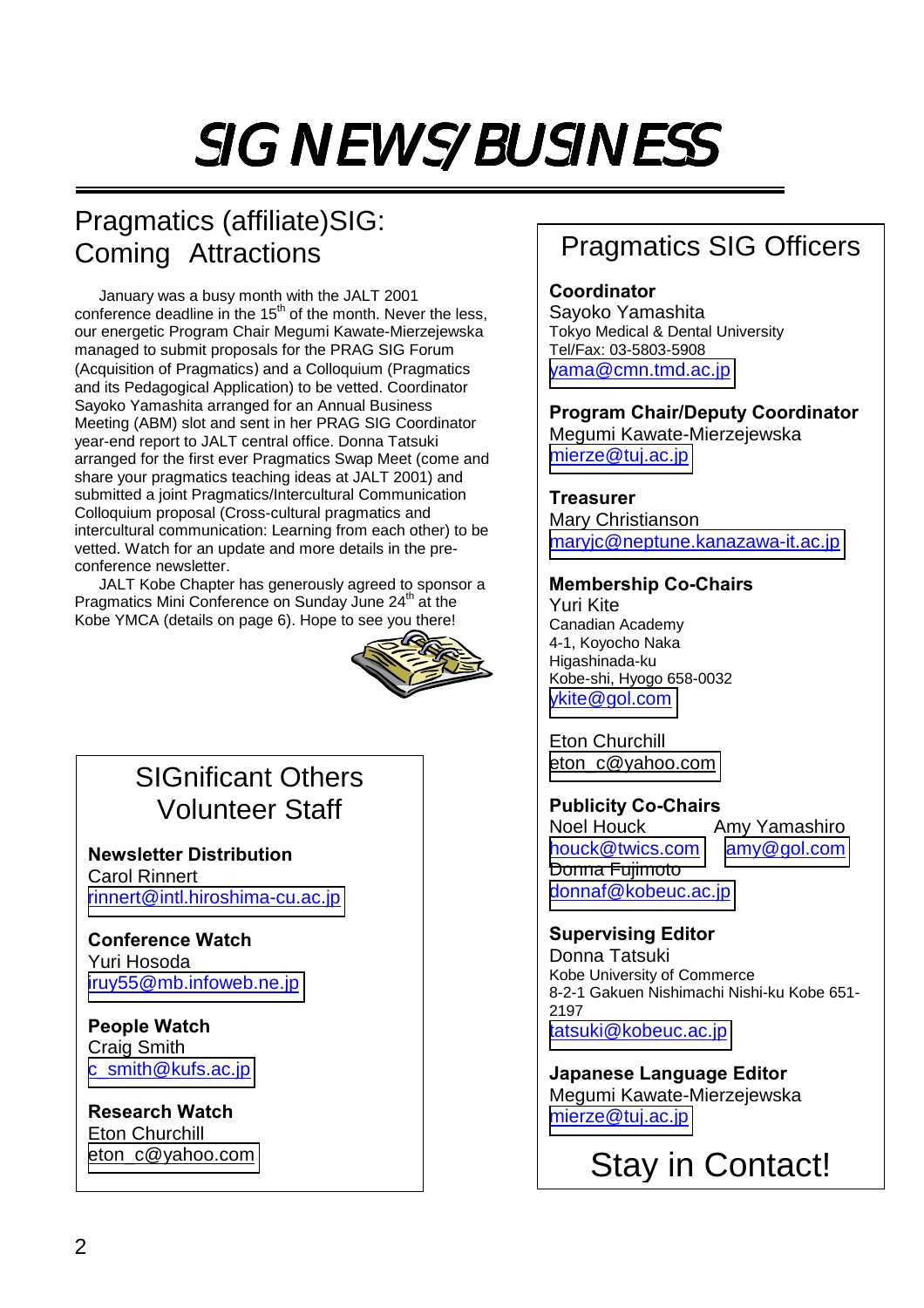# SIG NEWS/BUSINESS

# Pragmatics (affiliate)SIG: Coming Attractions

January was a busy month with the JALT 2001 conference deadline in the  $15<sup>th</sup>$  of the month. Never the less, our energetic Program Chair Megumi Kawate-Mierzejewska managed to submit proposals for the PRAG SIG Forum (Acquisition of Pragmatics) and a Colloquium (Pragmatics and its Pedagogical Application) to be vetted. Coordinator Sayoko Yamashita arranged for an Annual Business Meeting (ABM) slot and sent in her PRAG SIG Coordinator year-end report to JALT central office. Donna Tatsuki arranged for the first ever Pragmatics Swap Meet (come and share your pragmatics teaching ideas at JALT 2001) and submitted a joint Pragmatics/Intercultural Communication Colloquium proposal (Cross-cultural pragmatics and intercultural communication: Learning from each other) to be vetted. Watch for an update and more details in the preconference newsletter.

JALT Kobe Chapter has generously agreed to sponsor a Pragmatics Mini Conference on Sunday June 24<sup>th</sup> at the Kobe YMCA (details on page 6). Hope to see you there!



## SIGnificant Others Volunteer Staff

**Newsletter Distribution**  Carol Rinnert [rinnert@intl.hiroshima-cu.ac.jp](mailto:rinnert@intl.hiroshima-cu.ac.jp)

#### **Conference Watch**  Yuri Hosoda [iruy55@mb.infoweb.ne.jp](mailto:iruy55@mb.infoweb.ne.jp)

**People Watch**  Craig Smith [c\\_smith@kufs.ac.jp](mailto:c_smith@kufs.ac.jp)

**Research Watch**  Eton Churchill [eton\\_c@yahoo.com](mailto:PXQ00514@nifty.ne.jp)

# Pragmatics SIG Officers

## **Coordinator**

Sayoko Yamashita Tokyo Medical & Dental University Tel/Fax: 03-5803-5908 [yama@cmn.tmd.ac.jp](mailto:yama@cmn.tmd.ac.jp)

**Program Chair/Deputy Coordinator**  Megumi Kawate-Mierzejewska [mierze@tuj.ac.jp](mailto:mierze@tuj.ac.jp)

#### **Treasurer**

Mary Christianson [maryjc@neptune.kanazawa-it.ac.jp](mailto:maryjc@neptune.kanazawa-it.ac.jp)

#### **Membership Co-Chairs**

Yuri Kite Canadian Academy 4-1, Koyocho Naka Higashinada-ku Kobe-shi, Hyogo 658-0032 [ykite@gol.com](mailto:ykite@gol.com)

Eton Churchill [eton\\_c@yahoo.com](mailto:PXQ00514@nifty.ne.jp)

### **Publicity Co-Chairs**

Noel Houck Amy Yamashiro [houck@twics.com](mailto:houck@twics.com) [amy@gol.com](mailto:amy@gol.com) Donna Fujimoto [donnaf@kobeuc.ac.jp](mailto:donnaf@kobeuc.ac.jp)

#### **Supervising Editor**

Donna Tatsuki Kobe University of Commerce 8-2-1 Gakuen Nishimachi Nishi-ku Kobe 651- 2197 [tatsuki@kobeuc.ac.jp](mailto:tatsuki@kobeuc.ac.jp)

**Japanese Language Editor**  Megumi Kawate-Mierzejewska [mierze@tuj.ac.jp](mailto:mierze@tuj.ac.jp)

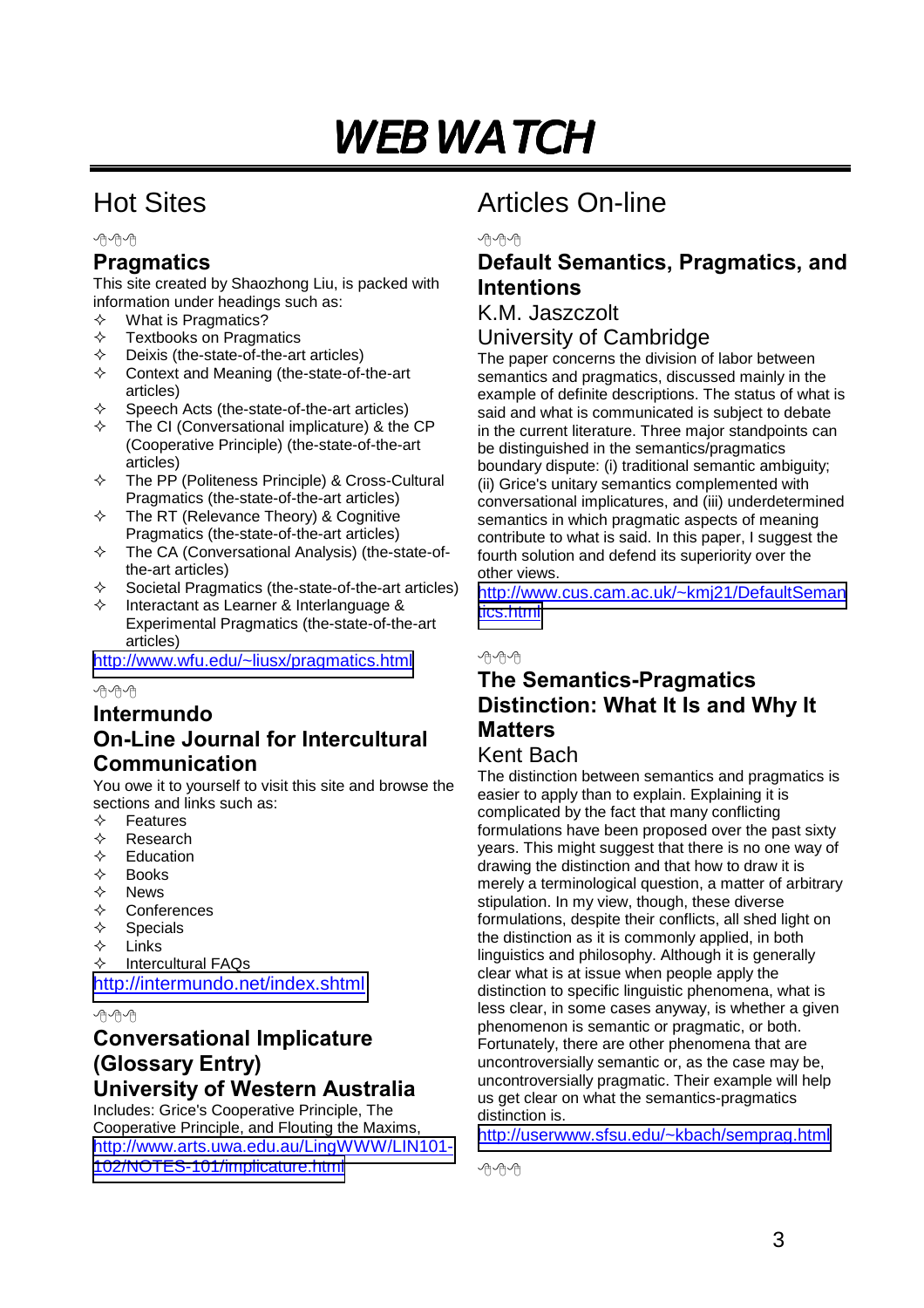# WEB WATCH

# Hot Sites

丹丹丹

## **Pragmatics**

This site created by Shaozhong Liu, is packed with information under headings such as:

- $\Diamond$  What is Pragmatics?
- $\diamond$  Textbooks on Pragmatics<br>  $\diamond$  Deixis (the-state-of-the-ar
- $\diamond$  Deixis (the-state-of-the-art articles)<br>  $\diamond$  Context and Meaning (the-state-of-
- Context and Meaning (the-state-of-the-art articles)
- $\Diamond$  Speech Acts (the-state-of-the-art articles)
- $\div$  The CI (Conversational implicature) & the CP (Cooperative Principle) (the-state-of-the-art articles)
- $\div$  The PP (Politeness Principle) & Cross-Cultural Pragmatics (the-state-of-the-art articles)
- $\Diamond$  The RT (Relevance Theory) & Cognitive Pragmatics (the-state-of-the-art articles)
- $\div$  The CA (Conversational Analysis) (the-state-ofthe-art articles)
- $\Diamond$  Societal Pragmatics (the-state-of-the-art articles)
- Interactant as Learner & Interlanguage & Experimental Pragmatics (the-state-of-the-art articles)

<http://www.wfu.edu/~liusx/pragmatics.html>

#### 小舟の

### **Intermundo On-Line Journal for Intercultural Communication**

You owe it to yourself to visit this site and browse the sections and links such as:

- $\Leftrightarrow$  Features
- $\Leftrightarrow$  Research
- $\Leftrightarrow$  Education
- $\Leftrightarrow$  Books<br> $\Leftrightarrow$  News
- $\diamond$  News<br> $\Leftrightarrow$  Confe
- **Conferences**
- $\Leftrightarrow$  Specials<br>  $\Leftrightarrow$  Links
- $\Leftrightarrow$  Links<br>  $\Leftrightarrow$  Interc
- Intercultural FAQs

<http://intermundo.net/index.shtml>

小舟の

## **Conversational Implicature (Glossary Entry) University of Western Australia**

Includes: Grice's Cooperative Principle, The Cooperative Principle, and Flouting the Maxims, [http://www.arts.uwa.edu.au/LingWWW/LIN101-](http://www.arts.uwa.edu.au/LingWWW/LIN101-102/NOTES-101/implica...) [102/NOTES-101/implicature.html](http://www.arts.uwa.edu.au/LingWWW/LIN101-102/NOTES-101/implica...)

# Articles On-line

呼呼

## **Default Semantics, Pragmatics, and Intentions**

## K.M. Jaszczolt

#### University of Cambridge

The paper concerns the division of labor between semantics and pragmatics, discussed mainly in the example of definite descriptions. The status of what is said and what is communicated is subject to debate in the current literature. Three major standpoints can be distinguished in the semantics/pragmatics boundary dispute: (i) traditional semantic ambiguity; (ii) Grice's unitary semantics complemented with conversational implicatures, and (iii) underdetermined semantics in which pragmatic aspects of meaning contribute to what is said. In this paper, I suggest the fourth solution and defend its superiority over the other views.

[http://www.cus.cam.ac.uk/~kmj21/DefaultSeman](http://www.cus.cam.ac.uk/~kmj21/DefaultSemantics.html) [tics.html](http://www.cus.cam.ac.uk/~kmj21/DefaultSemantics.html)

#### 丹伯伯

## **The Semantics-Pragmatics Distinction: What It Is and Why It Matters**

#### Kent Bach

The distinction between semantics and pragmatics is easier to apply than to explain. Explaining it is complicated by the fact that many conflicting formulations have been proposed over the past sixty years. This might suggest that there is no one way of drawing the distinction and that how to draw it is merely a terminological question, a matter of arbitrary stipulation. In my view, though, these diverse formulations, despite their conflicts, all shed light on the distinction as it is commonly applied, in both linguistics and philosophy. Although it is generally clear what is at issue when people apply the distinction to specific linguistic phenomena, what is less clear, in some cases anyway, is whether a given phenomenon is semantic or pragmatic, or both. Fortunately, there are other phenomena that are uncontroversially semantic or, as the case may be, uncontroversially pragmatic. Their example will help us get clear on what the semantics-pragmatics distinction is.

<http://userwww.sfsu.edu/~kbach/semprag.html>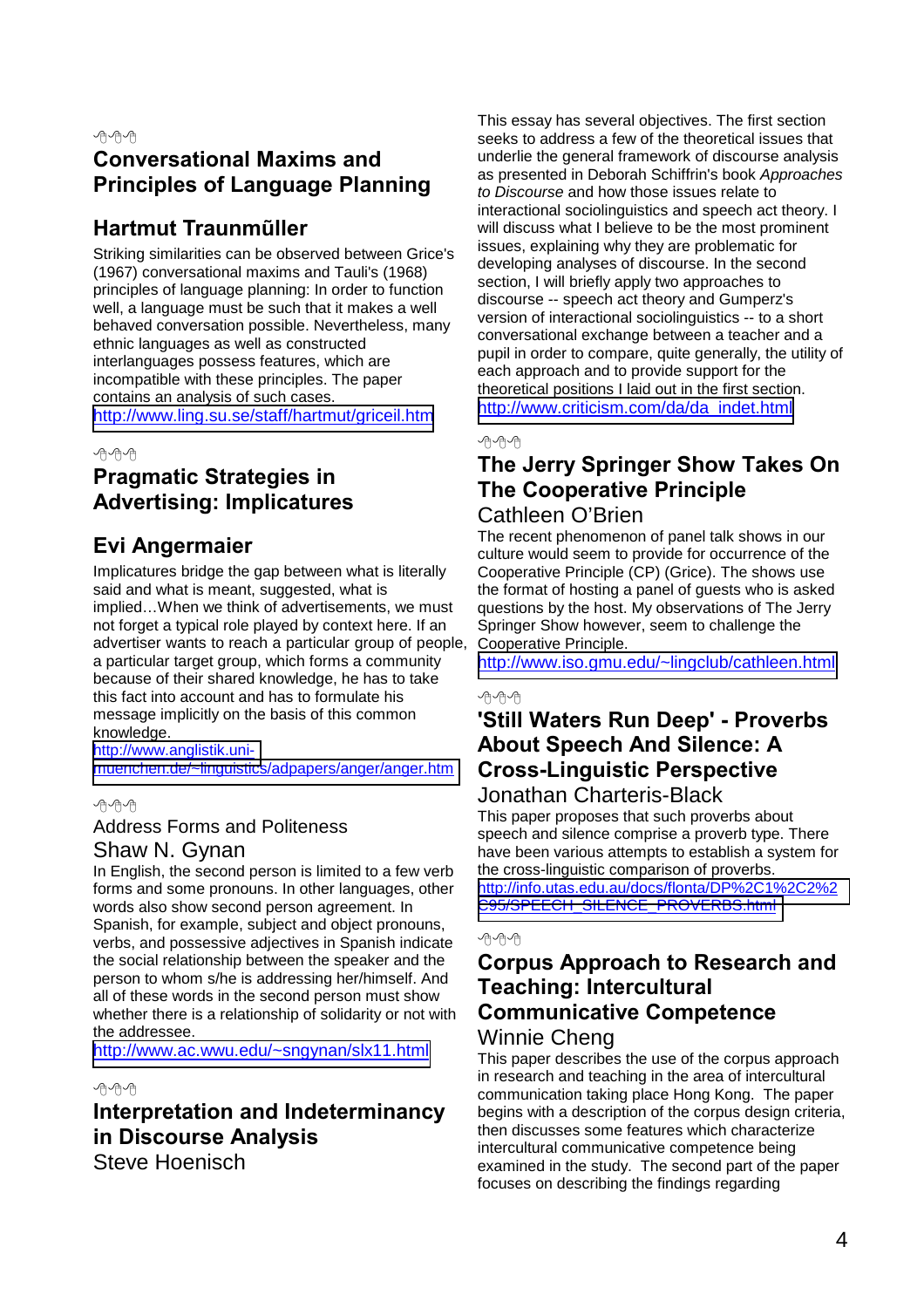## **Conversational Maxims and Principles of Language Planning**

## **Hartmut Traunmũller**

Striking similarities can be observed between Grice's (1967) conversational maxims and Tauli's (1968) principles of language planning: In order to function well, a language must be such that it makes a well behaved conversation possible. Nevertheless, many ethnic languages as well as constructed interlanguages possess features, which are incompatible with these principles. The paper contains an analysis of such cases. <http://www.ling.su.se/staff/hartmut/griceil.htm>

小舟の

## **Pragmatic Strategies in Advertising: Implicatures**

## **Evi Angermaier**

Implicatures bridge the gap between what is literally said and what is meant, suggested, what is implied…When we think of advertisements, we must not forget a typical role played by context here. If an advertiser wants to reach a particular group of people, a particular target group, which forms a community because of their shared knowledge, he has to take this fact into account and has to formulate his message implicitly on the basis of this common knowledge.

[http://www.anglistik.uni](http://www.anglistik.uni-muenchen.de/~linguistics/adpapers/ange...)[muenchen.de/~linguistics/adpapers/anger/anger.htm](http://www.anglistik.uni-muenchen.de/~linguistics/adpapers/ange...)

丹中内

#### Address Forms and Politeness

#### Shaw N. Gynan

In English, the second person is limited to a few verb forms and some pronouns. In other languages, other words also show second person agreement. In Spanish, for example, subject and object pronouns, verbs, and possessive adjectives in Spanish indicate the social relationship between the speaker and the person to whom s/he is addressing her/himself. And all of these words in the second person must show whether there is a relationship of solidarity or not with the addressee.

<http://www.ac.wwu.edu/~sngynan/slx11.html>

#### 丹中内

## **Interpretation and Indeterminancy in Discourse Analysis**

Steve Hoenisch

This essay has several objectives. The first section seeks to address a few of the theoretical issues that underlie the general framework of discourse analysis as presented in Deborah Schiffrin's book *Approaches to Discourse* and how those issues relate to interactional sociolinguistics and speech act theory. I will discuss what I believe to be the most prominent issues, explaining why they are problematic for developing analyses of discourse. In the second section, I will briefly apply two approaches to discourse -- speech act theory and Gumperz's version of interactional sociolinguistics -- to a short conversational exchange between a teacher and a pupil in order to compare, quite generally, the utility of each approach and to provide support for the theoretical positions I laid out in the first section. [http://www.criticism.com/da/da\\_indet.html](http://www.criticism.com/da/da_indet.html)

#### $\oplus \oplus \oplus$

## **The Jerry Springer Show Takes On The Cooperative Principle**

#### Cathleen O'Brien

The recent phenomenon of panel talk shows in our culture would seem to provide for occurrence of the Cooperative Principle (CP) (Grice). The shows use the format of hosting a panel of guests who is asked questions by the host. My observations of The Jerry Springer Show however, seem to challenge the Cooperative Principle.

<http://www.iso.gmu.edu/~lingclub/cathleen.html>

#### 小舟の

## **'Still Waters Run Deep' - Proverbs About Speech And Silence: A Cross-Linguistic Perspective**

#### Jonathan Charteris-Black

This paper proposes that such proverbs about speech and silence comprise a proverb type. There have been various attempts to establish a system for the cross-linguistic comparison of proverbs.

[http://info.utas.edu.au/docs/flonta/DP%2C1%2C2%2](http://info.utas.edu.au/docs/flonta/DP%2C1%2C2%2C95/SPEECH_SILE...) [C95/SPEECH\\_SILENCE\\_PROVERBS.html](http://info.utas.edu.au/docs/flonta/DP%2C1%2C2%2C95/SPEECH_SILE...)

#### 丹丹

## **Corpus Approach to Research and Teaching: Intercultural Communicative Competence**

## Winnie Cheng

This paper describes the use of the corpus approach in research and teaching in the area of intercultural communication taking place Hong Kong. The paper begins with a description of the corpus design criteria, then discusses some features which characterize intercultural communicative competence being examined in the study. The second part of the paper focuses on describing the findings regarding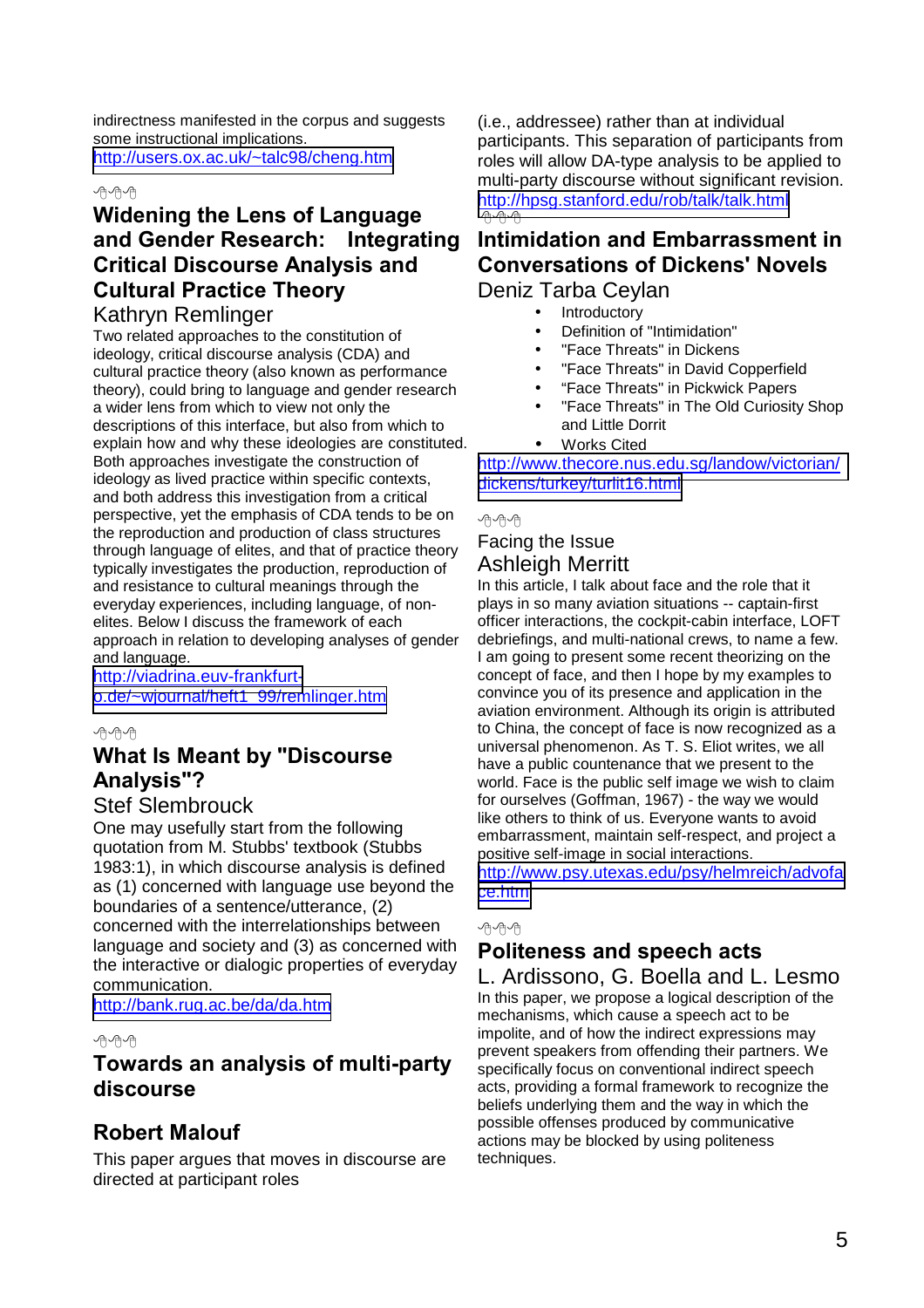indirectness manifested in the corpus and suggests some instructional implications. <http://users.ox.ac.uk/~talc98/cheng.htm>

#### 丹の内

## **Widening the Lens of Language and Gender Research: Integrating Critical Discourse Analysis and Cultural Practice Theory**

#### Kathryn Remlinger

Two related approaches to the constitution of ideology, critical discourse analysis (CDA) and cultural practice theory (also known as performance theory), could bring to language and gender research a wider lens from which to view not only the descriptions of this interface, but also from which to explain how and why these ideologies are constituted. Both approaches investigate the construction of ideology as lived practice within specific contexts, and both address this investigation from a critical perspective, yet the emphasis of CDA tends to be on the reproduction and production of class structures through language of elites, and that of practice theory typically investigates the production, reproduction of and resistance to cultural meanings through the everyday experiences, including language, of nonelites. Below I discuss the framework of each approach in relation to developing analyses of gender and language.

[http://viadrina.euv-frankfurt](http://viadrina.euv-frankfurt-o.de/~wjournal/heft1_99/remlinger...)[o.de/~wjournal/heft1\\_99/remlinger.htm](http://viadrina.euv-frankfurt-o.de/~wjournal/heft1_99/remlinger...)

#### 小舟の

## **What Is Meant by "Discourse Analysis"?**

#### Stef Slembrouck

One may usefully start from the following quotation from M. Stubbs' textbook (Stubbs 1983:1), in which discourse analysis is defined as (1) concerned with language use beyond the boundaries of a sentence/utterance, (2) concerned with the interrelationships between language and society and (3) as concerned with the interactive or dialogic properties of everyday communication.

<http://bank.rug.ac.be/da/da.htm>

#### 丹丹丹

### **Towards an analysis of multi-party discourse**

## **Robert Malouf**

This paper argues that moves in discourse are directed at participant roles

(i.e., addressee) rather than at individual participants. This separation of participants from roles will allow DA-type analysis to be applied to multi-party discourse without significant revision. <http://hpsg.stanford.edu/rob/talk/talk.html> 丹丹内

#### **Intimidation and Embarrassment in Conversations of Dickens' Novels**  Deniz Tarba Ceylan

- Introductory
	- Definition of "Intimidation"
	- "Face Threats" in Dickens
	- "Face Threats" in David Copperfield
	- "Face Threats" in Pickwick Papers
	- "Face Threats" in The Old Curiosity Shop and Little Dorrit
- **Works Cited**

[http://www.thecore.nus.edu.sg/landow/victorian/](http://www.thecore.nus.edu.sg/landow/victorian/dickens/turkey/t...) [dickens/turkey/turlit16.html](http://www.thecore.nus.edu.sg/landow/victorian/dickens/turkey/t...)

#### 小舟の

#### Facing the Issue Ashleigh Merritt

In this article, I talk about face and the role that it plays in so many aviation situations -- captain-first officer interactions, the cockpit-cabin interface, LOFT debriefings, and multi-national crews, to name a few. I am going to present some recent theorizing on the concept of face, and then I hope by my examples to convince you of its presence and application in the aviation environment. Although its origin is attributed to China, the concept of face is now recognized as a universal phenomenon. As T. S. Eliot writes, we all have a public countenance that we present to the world. Face is the public self image we wish to claim for ourselves (Goffman, 1967) - the way we would like others to think of us. Everyone wants to avoid embarrassment, maintain self-respect, and project a positive self-image in social interactions.

[http://www.psy.utexas.edu/psy/helmreich/advofa](http://www.psy.utexas.edu/psy/helmreich/advoface.htm) [ce.htm](http://www.psy.utexas.edu/psy/helmreich/advoface.htm)

#### 丹伯伯

## **Politeness and speech acts**

L. Ardissono, G. Boella and L. Lesmo In this paper, we propose a logical description of the mechanisms, which cause a speech act to be impolite, and of how the indirect expressions may prevent speakers from offending their partners. We specifically focus on conventional indirect speech acts, providing a formal framework to recognize the beliefs underlying them and the way in which the possible offenses produced by communicative actions may be blocked by using politeness techniques.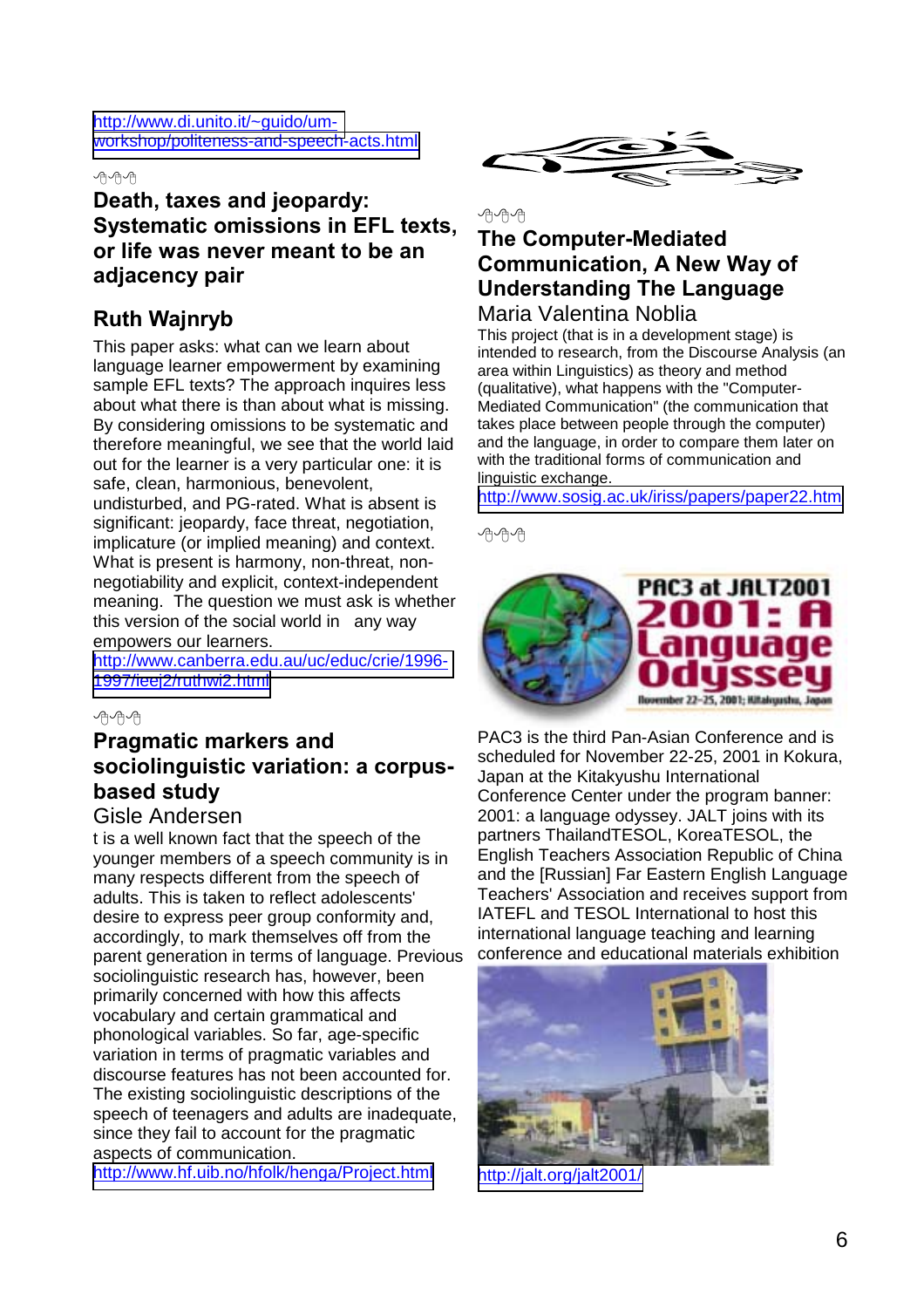[http://www.di.unito.it/~guido/um](http://www.di.unito.it/~guido/um-workshop/politeness-and-speech...)[workshop/politeness-and-speech-acts.html](http://www.di.unito.it/~guido/um-workshop/politeness-and-speech...)

#### 丹丹丹

## **Death, taxes and jeopardy: Systematic omissions in EFL texts, or life was never meant to be an adjacency pair**

## **Ruth Wajnryb**

This paper asks: what can we learn about language learner empowerment by examining sample EFL texts? The approach inquires less about what there is than about what is missing. By considering omissions to be systematic and therefore meaningful, we see that the world laid out for the learner is a very particular one: it is safe, clean, harmonious, benevolent, undisturbed, and PG-rated. What is absent is significant: jeopardy, face threat, negotiation, implicature (or implied meaning) and context. What is present is harmony, non-threat, nonnegotiability and explicit, context-independent meaning. The question we must ask is whether this version of the social world in any way empowers our learners.

[http://www.canberra.edu.au/uc/educ/crie/1996-](http://www.canberra.edu.au/uc/educ/crie/1996-1997/ieej2/ruthwi2...) [1997/ieej2/ruthwi2.html](http://www.canberra.edu.au/uc/educ/crie/1996-1997/ieej2/ruthwi2...)



## **Pragmatic markers and sociolinguistic variation: a corpusbased study**

#### Gisle Andersen

t is a well known fact that the speech of the younger members of a speech community is in many respects different from the speech of adults. This is taken to reflect adolescents' desire to express peer group conformity and, accordingly, to mark themselves off from the parent generation in terms of language. Previous sociolinguistic research has, however, been primarily concerned with how this affects vocabulary and certain grammatical and phonological variables. So far, age-specific variation in terms of pragmatic variables and discourse features has not been accounted for. The existing sociolinguistic descriptions of the speech of teenagers and adults are inadequate, since they fail to account for the pragmatic aspects of communication.

<http://www.hf.uib.no/hfolk/henga/Project.html>



## 小舟の **The Computer-Mediated Communication, A New Way of Understanding The Language**

Maria Valentina Noblia

This project (that is in a development stage) is intended to research, from the Discourse Analysis (an area within Linguistics) as theory and method (qualitative), what happens with the "Computer-Mediated Communication" (the communication that takes place between people through the computer) and the language, in order to compare them later on with the traditional forms of communication and linguistic exchange.

<http://www.sosig.ac.uk/iriss/papers/paper22.htm>

心内心



PAC3 is the third Pan-Asian Conference and is scheduled for November 22-25, 2001 in Kokura, Japan at the Kitakyushu International Conference Center under the program banner: 2001: a language odyssey. JALT joins with its partners ThailandTESOL, KoreaTESOL, the English Teachers Association Republic of China and the [Russian] Far Eastern English Language Teachers' Association and receives support from IATEFL and TESOL International to host this international language teaching and learning conference and educational materials exhibition



<http://jalt.org/jalt2001/>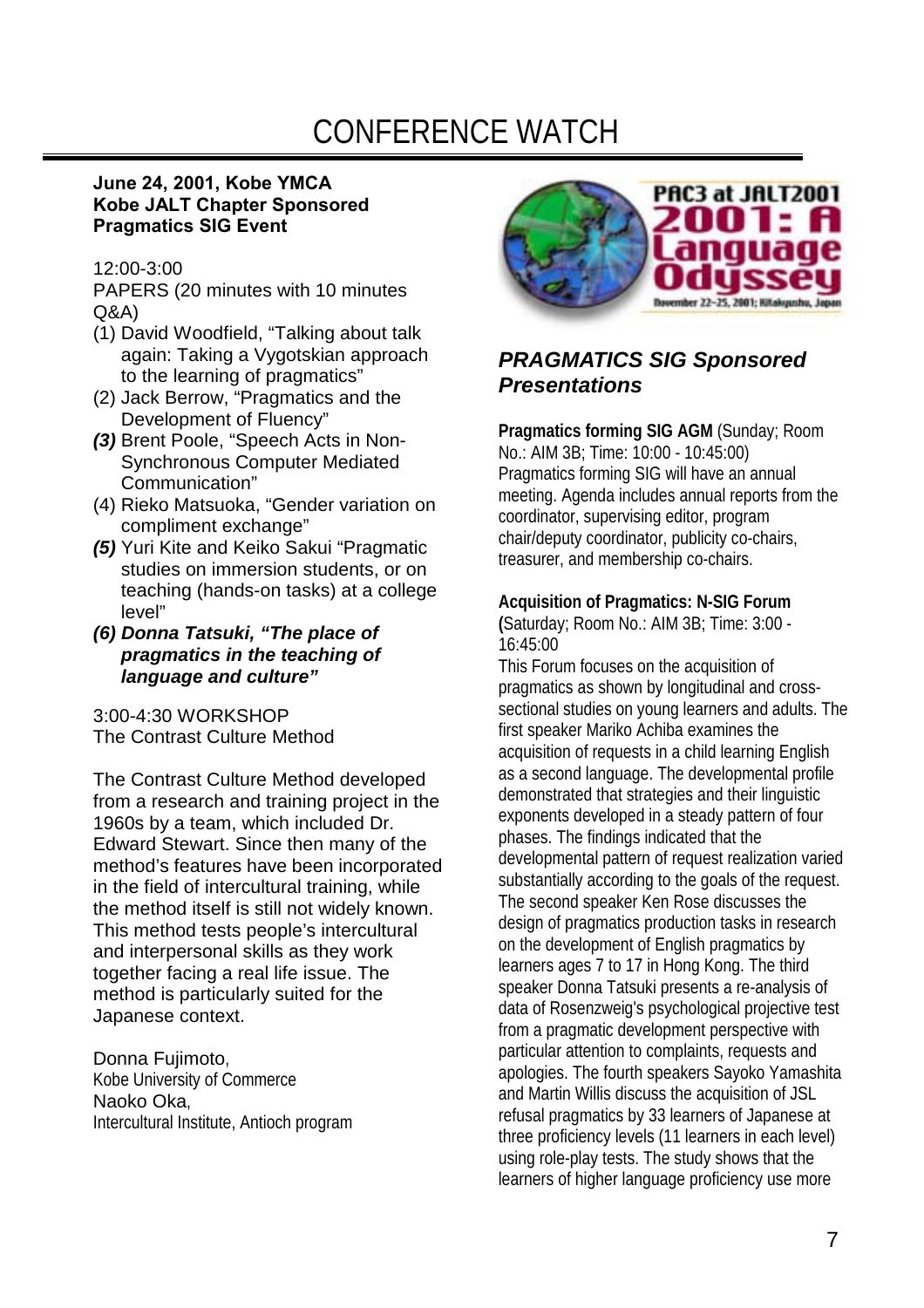# CONFERENCE WATCH

#### **June 24, 2001, Kobe YMCA Kobe JALT Chapter Sponsored Pragmatics SIG Event**

#### 12:00-3:00

PAPERS (20 minutes with 10 minutes Q&A)

- (1) David Woodfield, "Talking about talk again: Taking a Vygotskian approach to the learning of pragmatics"
- (2) Jack Berrow, "Pragmatics and the Development of Fluency"
- *(3)* Brent Poole, "Speech Acts in Non-Synchronous Computer Mediated Communication"
- (4) Rieko Matsuoka, "Gender variation on compliment exchange"
- *(5)* Yuri Kite and Keiko Sakui "Pragmatic studies on immersion students, or on teaching (hands-on tasks) at a college level"
- *(6) Donna Tatsuki, "The place of pragmatics in the teaching of language and culture"*

3:00-4:30 WORKSHOP The Contrast Culture Method

The Contrast Culture Method developed from a research and training project in the 1960s by a team, which included Dr. Edward Stewart. Since then many of the method's features have been incorporated in the field of intercultural training, while the method itself is still not widely known. This method tests people's intercultural and interpersonal skills as they work together facing a real life issue. The method is particularly suited for the Japanese context.

Donna Fujimoto, Kobe University of Commerce Naoko Oka, Intercultural Institute, Antioch program



## *PRAGMATICS SIG Sponsored Presentations*

**Pragmatics forming SIG AGM** (Sunday; Room No.: AIM 3B; Time: 10:00 - 10:45:00) Pragmatics forming SIG will have an annual meeting. Agenda includes annual reports from the coordinator, supervising editor, program chair/deputy coordinator, publicity co-chairs, treasurer, and membership co-chairs.

#### **Acquisition of Pragmatics: N-SIG Forum**

**(**Saturday; Room No.: AIM 3B; Time: 3:00 - 16:45:00

This Forum focuses on the acquisition of pragmatics as shown by longitudinal and crosssectional studies on young learners and adults. The first speaker Mariko Achiba examines the acquisition of requests in a child learning English as a second language. The developmental profile demonstrated that strategies and their linguistic exponents developed in a steady pattern of four phases. The findings indicated that the developmental pattern of request realization varied substantially according to the goals of the request. The second speaker Ken Rose discusses the design of pragmatics production tasks in research on the development of English pragmatics by learners ages 7 to 17 in Hong Kong. The third speaker Donna Tatsuki presents a re-analysis of data of Rosenzweig's psychological projective test from a pragmatic development perspective with particular attention to complaints, requests and apologies. The fourth speakers Sayoko Yamashita and Martin Willis discuss the acquisition of JSL refusal pragmatics by 33 learners of Japanese at three proficiency levels (11 learners in each level) using role-play tests. The study shows that the learners of higher language proficiency use more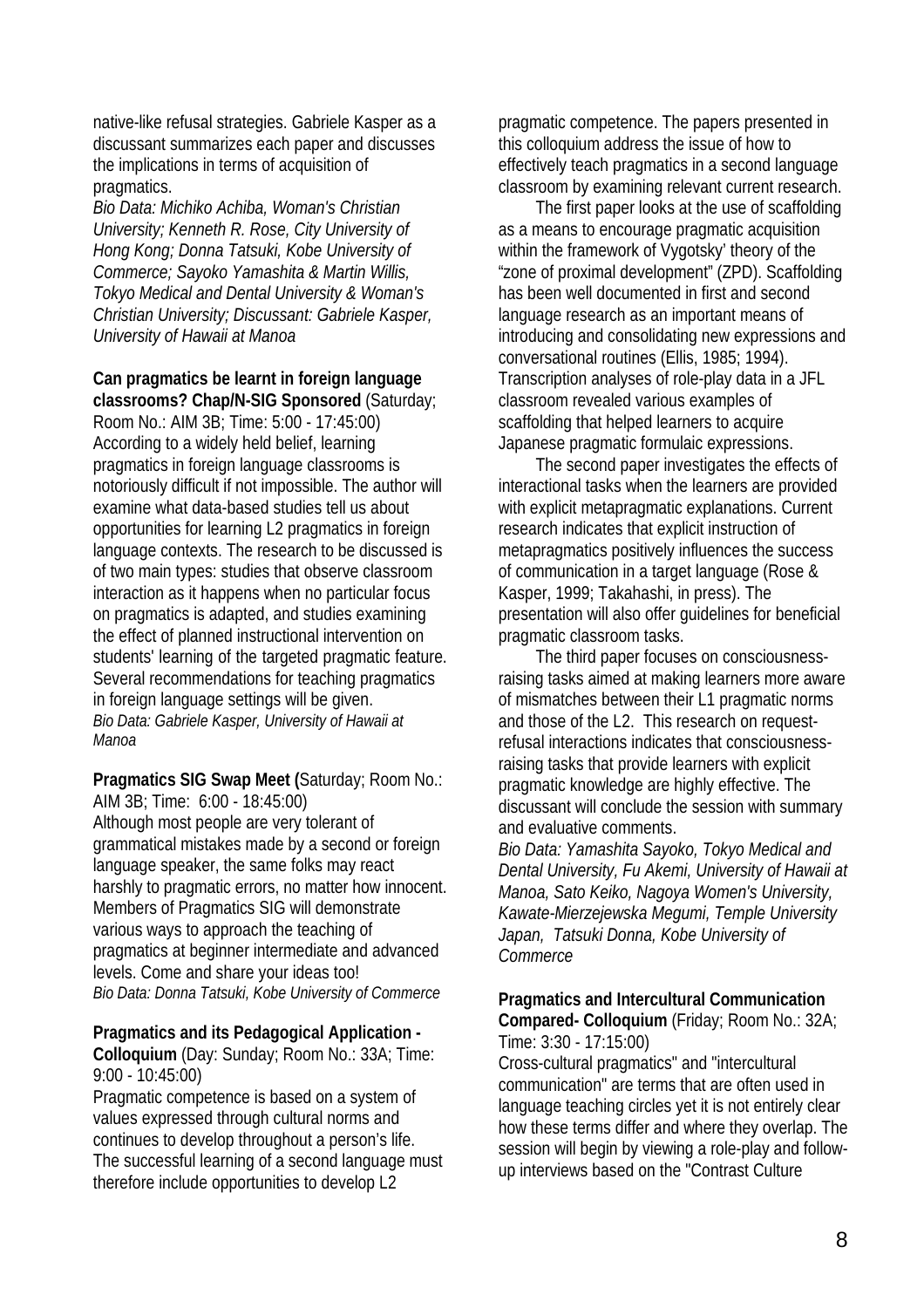native-like refusal strategies. Gabriele Kasper as a discussant summarizes each paper and discusses the implications in terms of acquisition of pragmatics.

*Bio Data: Michiko Achiba, Woman's Christian University; Kenneth R. Rose, City University of Hong Kong; Donna Tatsuki, Kobe University of Commerce; Sayoko Yamashita & Martin Willis, Tokyo Medical and Dental University & Woman's Christian University; Discussant: Gabriele Kasper, University of Hawaii at Manoa* 

#### **Can pragmatics be learnt in foreign language classrooms? Chap/N-SIG Sponsored** (Saturday;

Room No.: AIM 3B; Time: 5:00 - 17:45:00) According to a widely held belief, learning pragmatics in foreign language classrooms is notoriously difficult if not impossible. The author will examine what data-based studies tell us about opportunities for learning L2 pragmatics in foreign language contexts. The research to be discussed is of two main types: studies that observe classroom interaction as it happens when no particular focus on pragmatics is adapted, and studies examining the effect of planned instructional intervention on students' learning of the targeted pragmatic feature. Several recommendations for teaching pragmatics in foreign language settings will be given. *Bio Data: Gabriele Kasper, University of Hawaii at Manoa* 

**Pragmatics SIG Swap Meet (**Saturday; Room No.: AIM 3B; Time: 6:00 - 18:45:00) Although most people are very tolerant of grammatical mistakes made by a second or foreign language speaker, the same folks may react harshly to pragmatic errors, no matter how innocent. Members of Pragmatics SIG will demonstrate various ways to approach the teaching of

pragmatics at beginner intermediate and advanced levels. Come and share your ideas too! *Bio Data: Donna Tatsuki, Kobe University of Commerce* 

#### **Pragmatics and its Pedagogical Application -**

**Colloquium** (Day: Sunday; Room No.: 33A; Time: 9:00 - 10:45:00)

Pragmatic competence is based on a system of values expressed through cultural norms and continues to develop throughout a person's life. The successful learning of a second language must therefore include opportunities to develop L2

pragmatic competence. The papers presented in this colloquium address the issue of how to effectively teach pragmatics in a second language classroom by examining relevant current research.

The first paper looks at the use of scaffolding as a means to encourage pragmatic acquisition within the framework of Vygotsky' theory of the "zone of proximal development" (ZPD). Scaffolding has been well documented in first and second language research as an important means of introducing and consolidating new expressions and conversational routines (Ellis, 1985; 1994). Transcription analyses of role-play data in a JFL classroom revealed various examples of scaffolding that helped learners to acquire Japanese pragmatic formulaic expressions.

The second paper investigates the effects of interactional tasks when the learners are provided with explicit metapragmatic explanations. Current research indicates that explicit instruction of metapragmatics positively influences the success of communication in a target language (Rose & Kasper, 1999; Takahashi, in press). The presentation will also offer guidelines for beneficial pragmatic classroom tasks.

The third paper focuses on consciousnessraising tasks aimed at making learners more aware of mismatches between their L1 pragmatic norms and those of the L2. This research on requestrefusal interactions indicates that consciousnessraising tasks that provide learners with explicit pragmatic knowledge are highly effective. The discussant will conclude the session with summary and evaluative comments.

*Bio Data: Yamashita Sayoko, Tokyo Medical and Dental University, Fu Akemi, University of Hawaii at Manoa, Sato Keiko, Nagoya Women's University, Kawate-Mierzejewska Megumi, Temple University Japan, Tatsuki Donna, Kobe University of Commerce* 

#### **Pragmatics and Intercultural Communication Compared- Colloquium** (Friday; Room No.: 32A; Time: 3:30 - 17:15:00)

Cross-cultural pragmatics" and "intercultural communication" are terms that are often used in language teaching circles yet it is not entirely clear how these terms differ and where they overlap. The session will begin by viewing a role-play and followup interviews based on the "Contrast Culture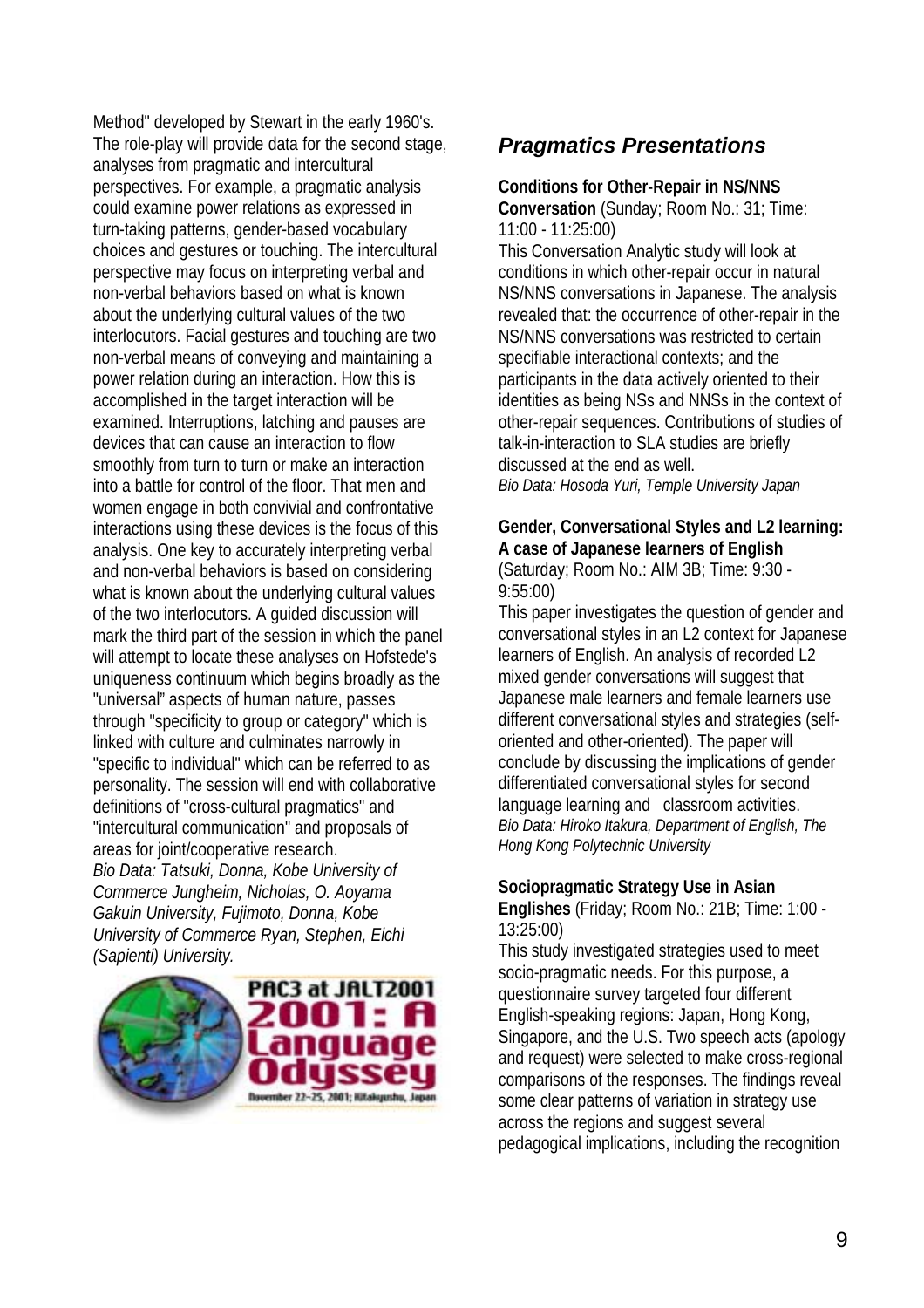Method" developed by Stewart in the early 1960's. The role-play will provide data for the second stage, analyses from pragmatic and intercultural perspectives. For example, a pragmatic analysis could examine power relations as expressed in turn-taking patterns, gender-based vocabulary choices and gestures or touching. The intercultural perspective may focus on interpreting verbal and non-verbal behaviors based on what is known about the underlying cultural values of the two interlocutors. Facial gestures and touching are two non-verbal means of conveying and maintaining a power relation during an interaction. How this is accomplished in the target interaction will be examined. Interruptions, latching and pauses are devices that can cause an interaction to flow smoothly from turn to turn or make an interaction into a battle for control of the floor. That men and women engage in both convivial and confrontative interactions using these devices is the focus of this analysis. One key to accurately interpreting verbal and non-verbal behaviors is based on considering what is known about the underlying cultural values of the two interlocutors. A guided discussion will mark the third part of the session in which the panel will attempt to locate these analyses on Hofstede's uniqueness continuum which begins broadly as the "universal" aspects of human nature, passes through "specificity to group or category" which is linked with culture and culminates narrowly in "specific to individual" which can be referred to as personality. The session will end with collaborative definitions of "cross-cultural pragmatics" and "intercultural communication" and proposals of areas for joint/cooperative research. *Bio Data: Tatsuki, Donna, Kobe University of Commerce Jungheim, Nicholas, O. Aoyama Gakuin University, Fujimoto, Donna, Kobe* 

*(Sapienti) University.*  PAC3 at JALT2001 anguage. ISSAU **November 22-25, 2001; Kitakyushu, Japan** 

*University of Commerce Ryan, Stephen, Eichi* 

## *Pragmatics Presentations*

#### **Conditions for Other-Repair in NS/NNS**

**Conversation** (Sunday; Room No.: 31; Time: 11:00 - 11:25:00)

This Conversation Analytic study will look at conditions in which other-repair occur in natural NS/NNS conversations in Japanese. The analysis revealed that: the occurrence of other-repair in the NS/NNS conversations was restricted to certain specifiable interactional contexts; and the participants in the data actively oriented to their identities as being NSs and NNSs in the context of other-repair sequences. Contributions of studies of talk-in-interaction to SLA studies are briefly discussed at the end as well. *Bio Data: Hosoda Yuri, Temple University Japan* 

**Gender, Conversational Styles and L2 learning: A case of Japanese learners of English** (Saturday; Room No.: AIM 3B; Time: 9:30 - 9:55:00)

This paper investigates the question of gender and conversational styles in an L2 context for Japanese learners of English. An analysis of recorded L2 mixed gender conversations will suggest that Japanese male learners and female learners use different conversational styles and strategies (selforiented and other-oriented). The paper will conclude by discussing the implications of gender differentiated conversational styles for second language learning and classroom activities. *Bio Data: Hiroko Itakura, Department of English, The Hong Kong Polytechnic University* 

#### **Sociopragmatic Strategy Use in Asian**

**Englishes** (Friday; Room No.: 21B; Time: 1:00 - 13:25:00)

This study investigated strategies used to meet socio-pragmatic needs. For this purpose, a questionnaire survey targeted four different English-speaking regions: Japan, Hong Kong, Singapore, and the U.S. Two speech acts (apology and request) were selected to make cross-regional comparisons of the responses. The findings reveal some clear patterns of variation in strategy use across the regions and suggest several pedagogical implications, including the recognition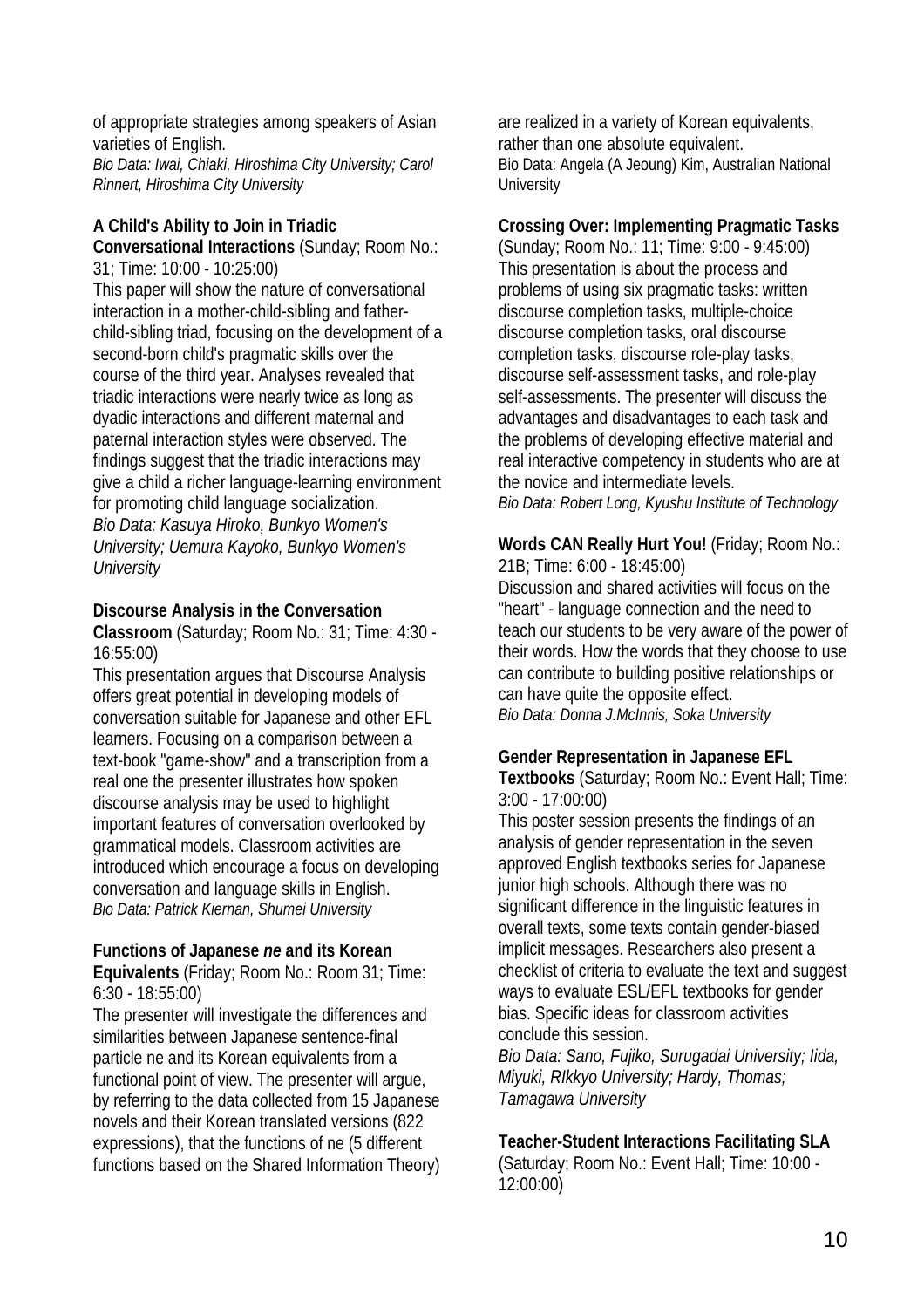of appropriate strategies among speakers of Asian varieties of English.

*Bio Data: Iwai, Chiaki, Hiroshima City University; Carol Rinnert, Hiroshima City University* 

#### **A Child's Ability to Join in Triadic**

**Conversational Interactions** (Sunday; Room No.: 31; Time: 10:00 - 10:25:00)

This paper will show the nature of conversational interaction in a mother-child-sibling and fatherchild-sibling triad, focusing on the development of a second-born child's pragmatic skills over the course of the third year. Analyses revealed that triadic interactions were nearly twice as long as dyadic interactions and different maternal and paternal interaction styles were observed. The findings suggest that the triadic interactions may give a child a richer language-learning environment for promoting child language socialization. *Bio Data: Kasuya Hiroko, Bunkyo Women's University; Uemura Kayoko, Bunkyo Women's University* 

#### **Discourse Analysis in the Conversation**

**Classroom** (Saturday; Room No.: 31; Time: 4:30 - 16:55:00)

This presentation argues that Discourse Analysis offers great potential in developing models of conversation suitable for Japanese and other EFL learners. Focusing on a comparison between a text-book "game-show" and a transcription from a real one the presenter illustrates how spoken discourse analysis may be used to highlight important features of conversation overlooked by grammatical models. Classroom activities are introduced which encourage a focus on developing conversation and language skills in English. *Bio Data: Patrick Kiernan, Shumei University* 

## **Functions of Japanese** *ne* **and its Korean**

**Equivalents** (Friday; Room No.: Room 31; Time: 6:30 - 18:55:00)

The presenter will investigate the differences and similarities between Japanese sentence-final particle ne and its Korean equivalents from a functional point of view. The presenter will argue, by referring to the data collected from 15 Japanese novels and their Korean translated versions (822 expressions), that the functions of ne (5 different functions based on the Shared Information Theory) are realized in a variety of Korean equivalents, rather than one absolute equivalent. Bio Data: Angela (A Jeoung) Kim, Australian National **University** 

#### **Crossing Over: Implementing Pragmatic Tasks**

(Sunday; Room No.: 11; Time: 9:00 - 9:45:00) This presentation is about the process and problems of using six pragmatic tasks: written discourse completion tasks, multiple-choice discourse completion tasks, oral discourse completion tasks, discourse role-play tasks, discourse self-assessment tasks, and role-play self-assessments. The presenter will discuss the advantages and disadvantages to each task and the problems of developing effective material and real interactive competency in students who are at the novice and intermediate levels. *Bio Data: Robert Long, Kyushu Institute of Technology* 

**Words CAN Really Hurt You!** (Friday; Room No.: 21B; Time: 6:00 - 18:45:00)

Discussion and shared activities will focus on the "heart" - language connection and the need to teach our students to be very aware of the power of their words. How the words that they choose to use can contribute to building positive relationships or can have quite the opposite effect. *Bio Data: Donna J.McInnis, Soka University* 

#### **Gender Representation in Japanese EFL**

**Textbooks** (Saturday; Room No.: Event Hall; Time: 3:00 - 17:00:00)

This poster session presents the findings of an analysis of gender representation in the seven approved English textbooks series for Japanese junior high schools. Although there was no significant difference in the linguistic features in overall texts, some texts contain gender-biased implicit messages. Researchers also present a checklist of criteria to evaluate the text and suggest ways to evaluate ESL/EFL textbooks for gender bias. Specific ideas for classroom activities conclude this session.

*Bio Data: Sano, Fujiko, Surugadai University; Iida, Miyuki, RIkkyo University; Hardy, Thomas; Tamagawa University* 

#### **Teacher-Student Interactions Facilitating SLA**

(Saturday; Room No.: Event Hall; Time: 10:00 - 12:00:00)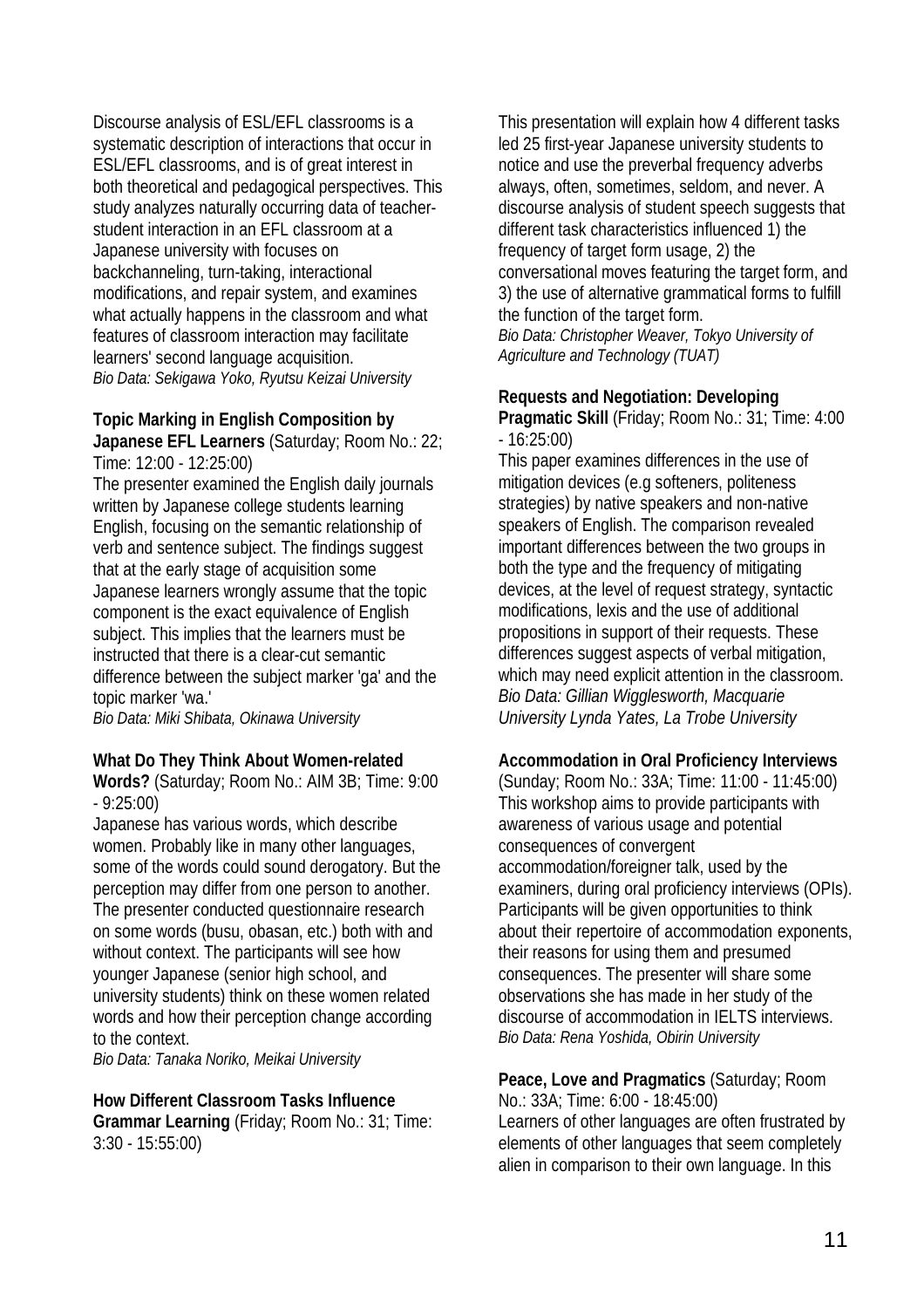Discourse analysis of ESL/EFL classrooms is a systematic description of interactions that occur in ESL/EFL classrooms, and is of great interest in both theoretical and pedagogical perspectives. This study analyzes naturally occurring data of teacherstudent interaction in an EFL classroom at a Japanese university with focuses on backchanneling, turn-taking, interactional modifications, and repair system, and examines what actually happens in the classroom and what features of classroom interaction may facilitate learners' second language acquisition. *Bio Data: Sekigawa Yoko, Ryutsu Keizai University* 

#### **Topic Marking in English Composition by Japanese EFL Learners** (Saturday; Room No.: 22;

Time: 12:00 - 12:25:00) The presenter examined the English daily journals written by Japanese college students learning English, focusing on the semantic relationship of verb and sentence subject. The findings suggest that at the early stage of acquisition some Japanese learners wrongly assume that the topic

component is the exact equivalence of English subject. This implies that the learners must be instructed that there is a clear-cut semantic difference between the subject marker 'ga' and the topic marker 'wa.'

*Bio Data: Miki Shibata, Okinawa University* 

#### **What Do They Think About Women-related**

**Words?** (Saturday; Room No.: AIM 3B; Time: 9:00 - 9:25:00)

Japanese has various words, which describe women. Probably like in many other languages, some of the words could sound derogatory. But the perception may differ from one person to another. The presenter conducted questionnaire research on some words (busu, obasan, etc.) both with and without context. The participants will see how younger Japanese (senior high school, and university students) think on these women related words and how their perception change according to the context.

*Bio Data: Tanaka Noriko, Meikai University* 

#### **How Different Classroom Tasks Influence Grammar Learning** (Friday; Room No.: 31; Time: 3:30 - 15:55:00)

This presentation will explain how 4 different tasks led 25 first-year Japanese university students to notice and use the preverbal frequency adverbs always, often, sometimes, seldom, and never. A discourse analysis of student speech suggests that different task characteristics influenced 1) the frequency of target form usage, 2) the conversational moves featuring the target form, and 3) the use of alternative grammatical forms to fulfill the function of the target form. *Bio Data: Christopher Weaver, Tokyo University of Agriculture and Technology (TUAT)* 

#### **Requests and Negotiation: Developing**

**Pragmatic Skill** (Friday; Room No.: 31; Time: 4:00 - 16:25:00)

This paper examines differences in the use of mitigation devices (e.g softeners, politeness strategies) by native speakers and non-native speakers of English. The comparison revealed important differences between the two groups in both the type and the frequency of mitigating devices, at the level of request strategy, syntactic modifications, lexis and the use of additional propositions in support of their requests. These differences suggest aspects of verbal mitigation, which may need explicit attention in the classroom. *Bio Data: Gillian Wigglesworth, Macquarie University Lynda Yates, La Trobe University* 

#### **Accommodation in Oral Proficiency Interviews**

(Sunday; Room No.: 33A; Time: 11:00 - 11:45:00) This workshop aims to provide participants with awareness of various usage and potential consequences of convergent accommodation/foreigner talk, used by the examiners, during oral proficiency interviews (OPIs). Participants will be given opportunities to think about their repertoire of accommodation exponents, their reasons for using them and presumed consequences. The presenter will share some observations she has made in her study of the discourse of accommodation in IELTS interviews. *Bio Data: Rena Yoshida, Obirin University* 

**Peace, Love and Pragmatics** (Saturday; Room No.: 33A; Time: 6:00 - 18:45:00) Learners of other languages are often frustrated by elements of other languages that seem completely alien in comparison to their own language. In this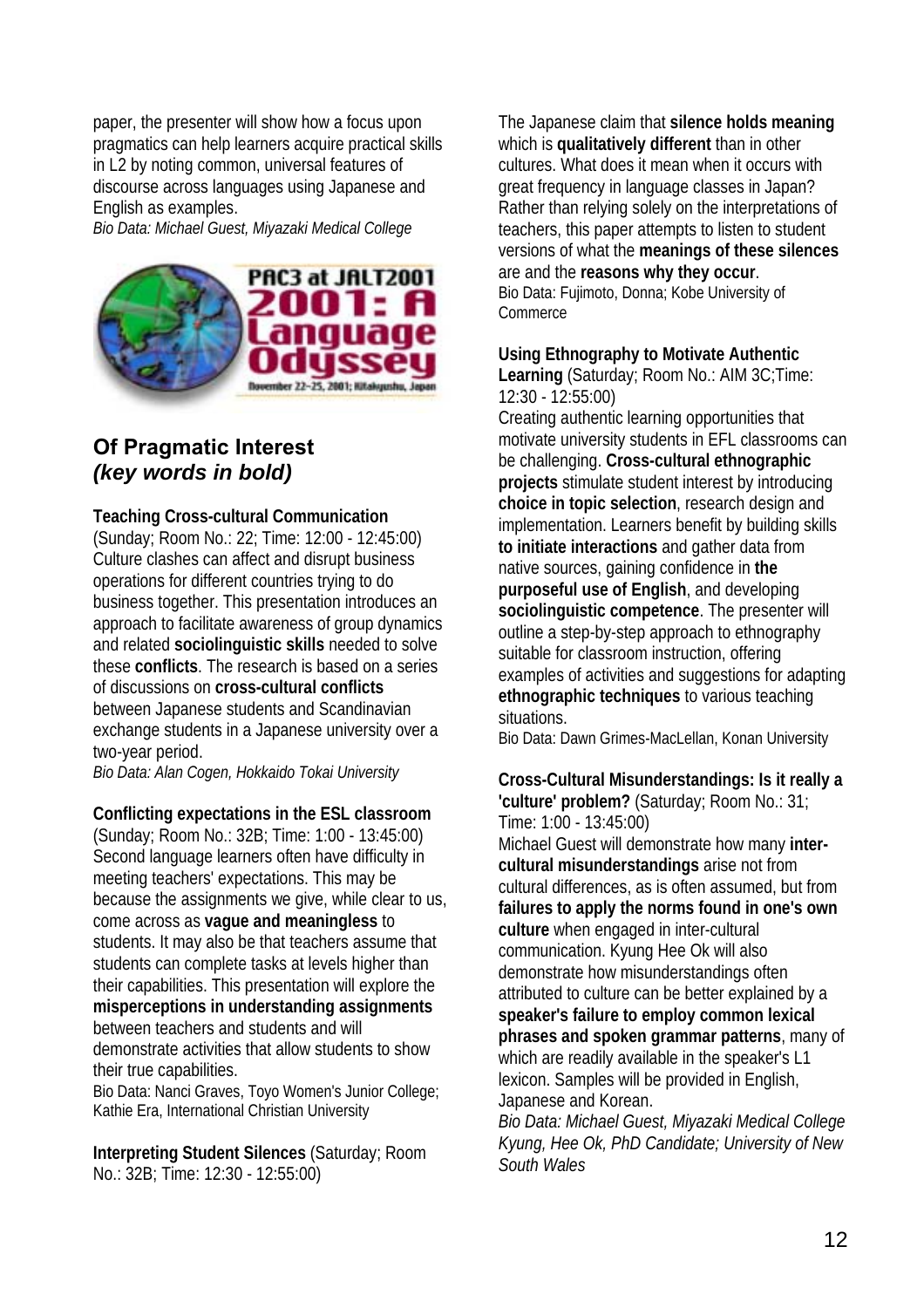paper, the presenter will show how a focus upon pragmatics can help learners acquire practical skills in L2 by noting common, universal features of discourse across languages using Japanese and English as examples.

*Bio Data: Michael Guest, Miyazaki Medical College* 



## **Of Pragmatic Interest**  *(key words in bold)*

#### **Teaching Cross-cultural Communication**

(Sunday; Room No.: 22; Time: 12:00 - 12:45:00) Culture clashes can affect and disrupt business operations for different countries trying to do business together. This presentation introduces an approach to facilitate awareness of group dynamics and related **sociolinguistic skills** needed to solve these **conflicts**. The research is based on a series of discussions on **cross-cultural conflicts** between Japanese students and Scandinavian exchange students in a Japanese university over a two-year period.

*Bio Data: Alan Cogen, Hokkaido Tokai University* 

#### **Conflicting expectations in the ESL classroom**

(Sunday; Room No.: 32B; Time: 1:00 - 13:45:00) Second language learners often have difficulty in meeting teachers' expectations. This may be because the assignments we give, while clear to us, come across as **vague and meaningless** to students. It may also be that teachers assume that students can complete tasks at levels higher than their capabilities. This presentation will explore the **misperceptions in understanding assignments** between teachers and students and will demonstrate activities that allow students to show their true capabilities.

Bio Data: Nanci Graves, Toyo Women's Junior College; Kathie Era, International Christian University

**Interpreting Student Silences** (Saturday; Room No.: 32B; Time: 12:30 - 12:55:00)

The Japanese claim that **silence holds meaning** which is **qualitatively different** than in other cultures. What does it mean when it occurs with great frequency in language classes in Japan? Rather than relying solely on the interpretations of teachers, this paper attempts to listen to student versions of what the **meanings of these silences** are and the **reasons why they occur**. Bio Data: Fujimoto, Donna; Kobe University of **Commerce** 

#### **Using Ethnography to Motivate Authentic**

**Learning** (Saturday; Room No.: AIM 3C;Time: 12:30 - 12:55:00)

Creating authentic learning opportunities that motivate university students in EFL classrooms can be challenging. **Cross-cultural ethnographic projects** stimulate student interest by introducing **choice in topic selection**, research design and implementation. Learners benefit by building skills **to initiate interactions** and gather data from native sources, gaining confidence in **the purposeful use of English**, and developing **sociolinguistic competence**. The presenter will outline a step-by-step approach to ethnography suitable for classroom instruction, offering examples of activities and suggestions for adapting **ethnographic techniques** to various teaching situations.

Bio Data: Dawn Grimes-MacLellan, Konan University

#### **Cross-Cultural Misunderstandings: Is it really a 'culture' problem?** (Saturday; Room No.: 31; Time: 1:00 - 13:45:00)

Michael Guest will demonstrate how many **intercultural misunderstandings** arise not from cultural differences, as is often assumed, but from **failures to apply the norms found in one's own culture** when engaged in inter-cultural communication. Kyung Hee Ok will also demonstrate how misunderstandings often attributed to culture can be better explained by a **speaker's failure to employ common lexical phrases and spoken grammar patterns**, many of which are readily available in the speaker's L1 lexicon. Samples will be provided in English, Japanese and Korean.

*Bio Data: Michael Guest, Miyazaki Medical College Kyung, Hee Ok, PhD Candidate; University of New South Wales*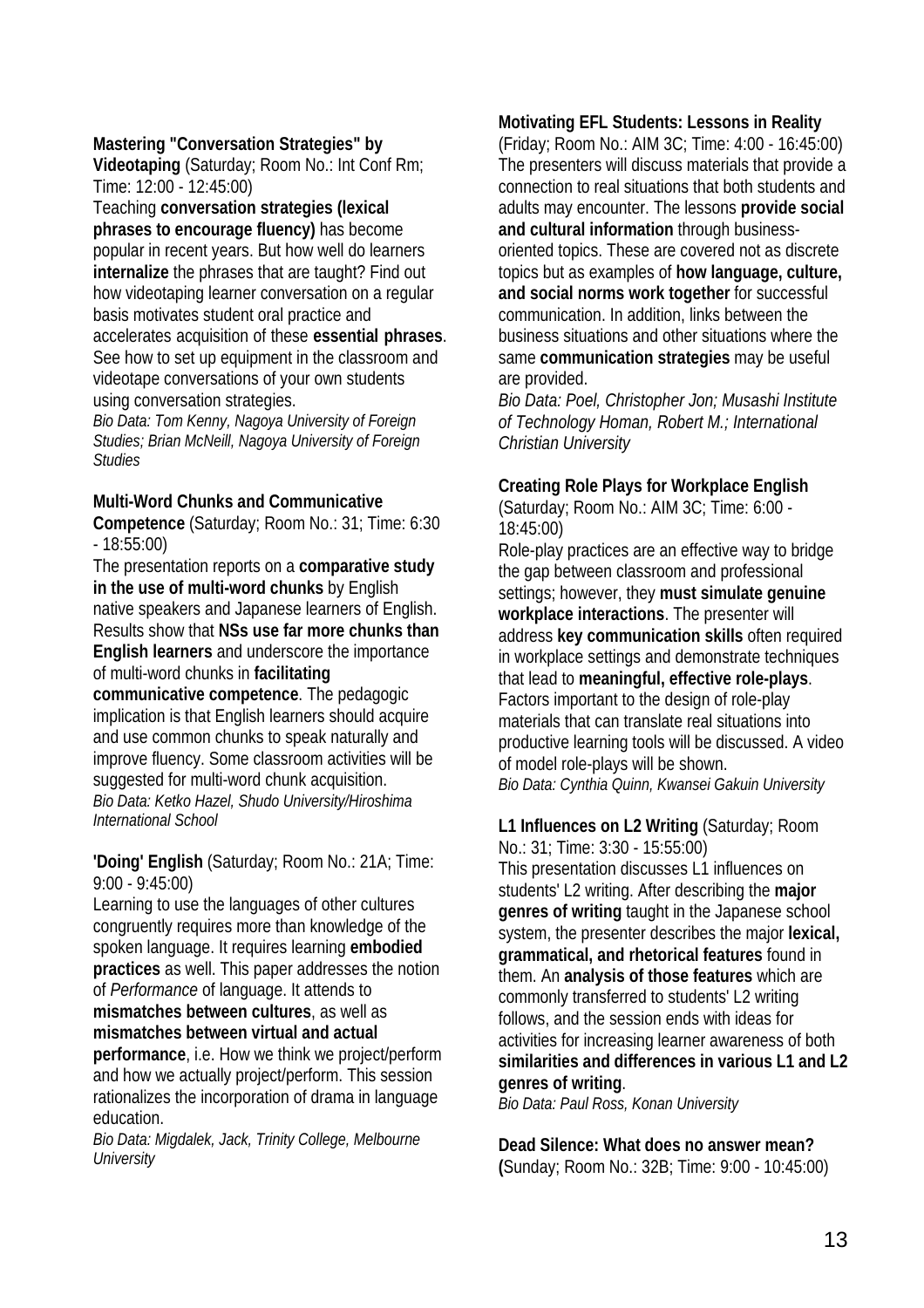#### **Mastering "Conversation Strategies" by**

**Videotaping** (Saturday; Room No.: Int Conf Rm; Time: 12:00 - 12:45:00)

Teaching **conversation strategies (lexical phrases to encourage fluency)** has become popular in recent years. But how well do learners **internalize** the phrases that are taught? Find out how videotaping learner conversation on a regular basis motivates student oral practice and accelerates acquisition of these **essential phrases**. See how to set up equipment in the classroom and videotape conversations of your own students using conversation strategies.

*Bio Data: Tom Kenny, Nagoya University of Foreign Studies; Brian McNeill, Nagoya University of Foreign Studies* 

#### **Multi-Word Chunks and Communicative**

**Competence** (Saturday; Room No.: 31; Time: 6:30 - 18:55:00)

The presentation reports on a **comparative study in the use of multi-word chunks** by English native speakers and Japanese learners of English. Results show that **NSs use far more chunks than English learners** and underscore the importance of multi-word chunks in **facilitating** 

**communicative competence**. The pedagogic implication is that English learners should acquire and use common chunks to speak naturally and improve fluency. Some classroom activities will be suggested for multi-word chunk acquisition. *Bio Data: Ketko Hazel, Shudo University/Hiroshima International School* 

#### **'Doing' English** (Saturday; Room No.: 21A; Time: 9:00 - 9:45:00)

Learning to use the languages of other cultures congruently requires more than knowledge of the spoken language. It requires learning **embodied practices** as well. This paper addresses the notion of *Performance* of language. It attends to **mismatches between cultures**, as well as **mismatches between virtual and actual performance**, i.e. How we think we project/perform and how we actually project/perform. This session rationalizes the incorporation of drama in language education.

*Bio Data: Migdalek, Jack, Trinity College, Melbourne University* 

#### **Motivating EFL Students: Lessons in Reality**

(Friday; Room No.: AIM 3C; Time: 4:00 - 16:45:00) The presenters will discuss materials that provide a connection to real situations that both students and adults may encounter. The lessons **provide social and cultural information** through businessoriented topics. These are covered not as discrete topics but as examples of **how language, culture, and social norms work together** for successful communication. In addition, links between the business situations and other situations where the same **communication strategies** may be useful are provided.

*Bio Data: Poel, Christopher Jon; Musashi Institute of Technology Homan, Robert M.; International Christian University* 

#### **Creating Role Plays for Workplace English**

(Saturday; Room No.: AIM 3C; Time: 6:00 - 18:45:00)

Role-play practices are an effective way to bridge the gap between classroom and professional settings; however, they **must simulate genuine workplace interactions**. The presenter will address **key communication skills** often required in workplace settings and demonstrate techniques that lead to **meaningful, effective role-plays**. Factors important to the design of role-play materials that can translate real situations into productive learning tools will be discussed. A video of model role-plays will be shown.

*Bio Data: Cynthia Quinn, Kwansei Gakuin University* 

**L1 Influences on L2 Writing** (Saturday; Room No.: 31; Time: 3:30 - 15:55:00) This presentation discusses L1 influences on students' L2 writing. After describing the **major genres of writing** taught in the Japanese school system, the presenter describes the major **lexical, grammatical, and rhetorical features** found in them. An **analysis of those features** which are commonly transferred to students' L2 writing follows, and the session ends with ideas for activities for increasing learner awareness of both **similarities and differences in various L1 and L2 genres of writing**.

*Bio Data: Paul Ross, Konan University* 

**Dead Silence: What does no answer mean? (**Sunday; Room No.: 32B; Time: 9:00 - 10:45:00)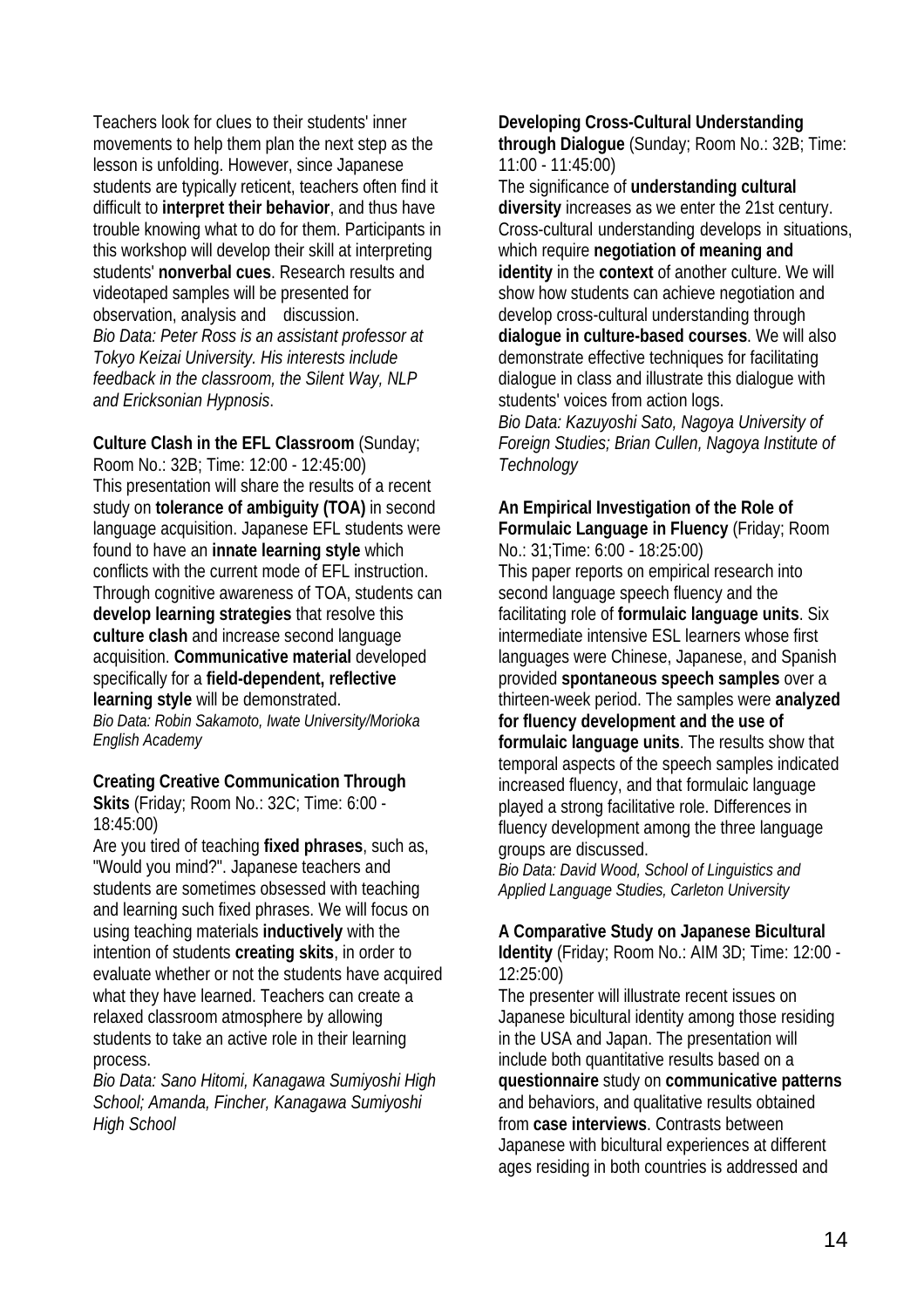Teachers look for clues to their students' inner movements to help them plan the next step as the lesson is unfolding. However, since Japanese students are typically reticent, teachers often find it difficult to **interpret their behavior**, and thus have trouble knowing what to do for them. Participants in this workshop will develop their skill at interpreting students' **nonverbal cues**. Research results and videotaped samples will be presented for observation, analysis and discussion. *Bio Data: Peter Ross is an assistant professor at Tokyo Keizai University. His interests include feedback in the classroom, the Silent Way, NLP and Ericksonian Hypnosis*.

**Culture Clash in the EFL Classroom** (Sunday; Room No.: 32B; Time: 12:00 - 12:45:00) This presentation will share the results of a recent study on **tolerance of ambiguity (TOA)** in second language acquisition. Japanese EFL students were found to have an **innate learning style** which conflicts with the current mode of EFL instruction. Through cognitive awareness of TOA, students can **develop learning strategies** that resolve this **culture clash** and increase second language acquisition. **Communicative material** developed specifically for a **field-dependent, reflective learning style** will be demonstrated. *Bio Data: Robin Sakamoto, Iwate University/Morioka English Academy* 

#### **Creating Creative Communication Through**

**Skits** (Friday; Room No.: 32C; Time: 6:00 - 18:45:00)

Are you tired of teaching **fixed phrases**, such as, "Would you mind?". Japanese teachers and students are sometimes obsessed with teaching and learning such fixed phrases. We will focus on using teaching materials **inductively** with the intention of students **creating skits**, in order to evaluate whether or not the students have acquired what they have learned. Teachers can create a relaxed classroom atmosphere by allowing students to take an active role in their learning process.

*Bio Data: Sano Hitomi, Kanagawa Sumiyoshi High School; Amanda, Fincher, Kanagawa Sumiyoshi High School* 

**Developing Cross-Cultural Understanding through Dialogue** (Sunday; Room No.: 32B; Time: 11:00 - 11:45:00)

The significance of **understanding cultural diversity** increases as we enter the 21st century. Cross-cultural understanding develops in situations, which require **negotiation of meaning and identity** in the **context** of another culture. We will show how students can achieve negotiation and develop cross-cultural understanding through **dialogue in culture-based courses**. We will also demonstrate effective techniques for facilitating dialogue in class and illustrate this dialogue with students' voices from action logs.

*Bio Data: Kazuyoshi Sato, Nagoya University of Foreign Studies; Brian Cullen, Nagoya Institute of Technology* 

## **An Empirical Investigation of the Role of Formulaic Language in Fluency** (Friday; Room

No.: 31;Time: 6:00 - 18:25:00) This paper reports on empirical research into second language speech fluency and the facilitating role of **formulaic language units**. Six intermediate intensive ESL learners whose first languages were Chinese, Japanese, and Spanish provided **spontaneous speech samples** over a thirteen-week period. The samples were **analyzed for fluency development and the use of formulaic language units**. The results show that temporal aspects of the speech samples indicated increased fluency, and that formulaic language played a strong facilitative role. Differences in fluency development among the three language groups are discussed.

*Bio Data: David Wood, School of Linguistics and Applied Language Studies, Carleton University* 

#### **A Comparative Study on Japanese Bicultural**

**Identity** (Friday; Room No.: AIM 3D; Time: 12:00 - 12:25:00)

The presenter will illustrate recent issues on Japanese bicultural identity among those residing in the USA and Japan. The presentation will include both quantitative results based on a **questionnaire** study on **communicative patterns** and behaviors, and qualitative results obtained from **case interviews**. Contrasts between Japanese with bicultural experiences at different ages residing in both countries is addressed and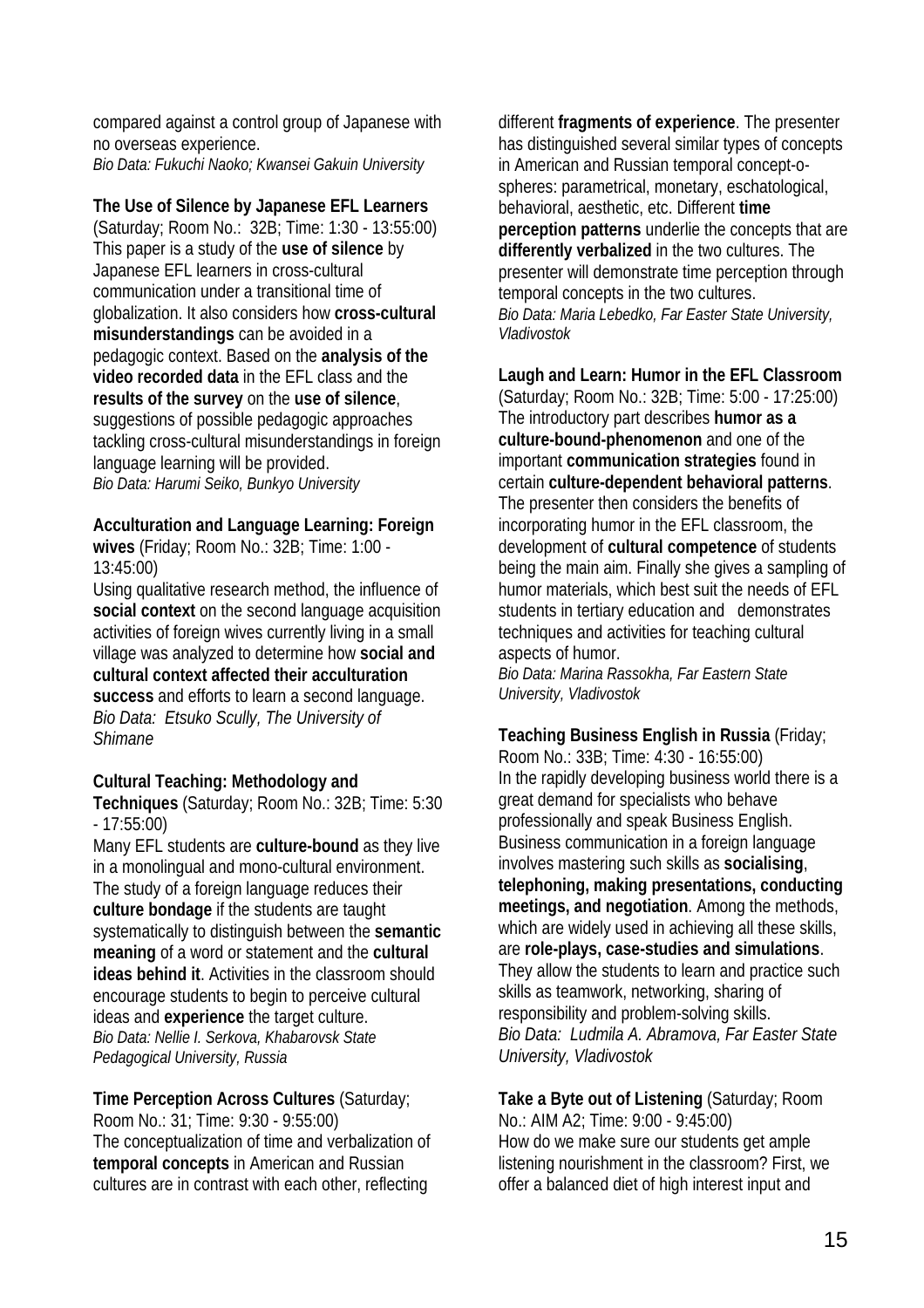compared against a control group of Japanese with no overseas experience. *Bio Data: Fukuchi Naoko; Kwansei Gakuin University* 

**The Use of Silence by Japanese EFL Learners**

(Saturday; Room No.: 32B; Time: 1:30 - 13:55:00) This paper is a study of the **use of silence** by Japanese EFL learners in cross-cultural communication under a transitional time of globalization. It also considers how **cross-cultural misunderstandings** can be avoided in a pedagogic context. Based on the **analysis of the video recorded data** in the EFL class and the **results of the survey** on the **use of silence**, suggestions of possible pedagogic approaches tackling cross-cultural misunderstandings in foreign language learning will be provided. *Bio Data: Harumi Seiko, Bunkyo University* 

#### **Acculturation and Language Learning: Foreign**

**wives** (Friday; Room No.: 32B; Time: 1:00 - 13:45:00)

Using qualitative research method, the influence of **social context** on the second language acquisition activities of foreign wives currently living in a small village was analyzed to determine how **social and cultural context affected their acculturation success** and efforts to learn a second language. *Bio Data: Etsuko Scully, The University of Shimane* 

**Cultural Teaching: Methodology and** 

**Techniques** (Saturday; Room No.: 32B; Time: 5:30 - 17:55:00)

Many EFL students are **culture-bound** as they live in a monolingual and mono-cultural environment. The study of a foreign language reduces their **culture bondage** if the students are taught systematically to distinguish between the **semantic meaning** of a word or statement and the **cultural ideas behind it**. Activities in the classroom should encourage students to begin to perceive cultural ideas and **experience** the target culture. *Bio Data: Nellie I. Serkova, Khabarovsk State Pedagogical University, Russia* 

**Time Perception Across Cultures** (Saturday; Room No.: 31; Time: 9:30 - 9:55:00) The conceptualization of time and verbalization of **temporal concepts** in American and Russian cultures are in contrast with each other, reflecting

different **fragments of experience**. The presenter has distinguished several similar types of concepts in American and Russian temporal concept-ospheres: parametrical, monetary, eschatological, behavioral, aesthetic, etc. Different **time perception patterns** underlie the concepts that are **differently verbalized** in the two cultures. The presenter will demonstrate time perception through temporal concepts in the two cultures. *Bio Data: Maria Lebedko, Far Easter State University, Vladivostok* 

**Laugh and Learn: Humor in the EFL Classroom** (Saturday; Room No.: 32B; Time: 5:00 - 17:25:00) The introductory part describes **humor as a culture-bound-phenomenon** and one of the important **communication strategies** found in certain **culture-dependent behavioral patterns**. The presenter then considers the benefits of incorporating humor in the EFL classroom, the development of **cultural competence** of students being the main aim. Finally she gives a sampling of humor materials, which best suit the needs of EFL students in tertiary education and demonstrates techniques and activities for teaching cultural aspects of humor.

*Bio Data: Marina Rassokha, Far Eastern State University, Vladivostok* 

**Teaching Business English in Russia** (Friday; Room No.: 33B; Time: 4:30 - 16:55:00) In the rapidly developing business world there is a great demand for specialists who behave professionally and speak Business English. Business communication in a foreign language involves mastering such skills as **socialising**, **telephoning, making presentations, conducting meetings, and negotiation**. Among the methods, which are widely used in achieving all these skills, are **role-plays, case-studies and simulations**. They allow the students to learn and practice such skills as teamwork, networking, sharing of responsibility and problem-solving skills. *Bio Data: Ludmila A. Abramova, Far Easter State University, Vladivostok* 

**Take a Byte out of Listening** (Saturday; Room No.: AIM A2; Time: 9:00 - 9:45:00) How do we make sure our students get ample listening nourishment in the classroom? First, we offer a balanced diet of high interest input and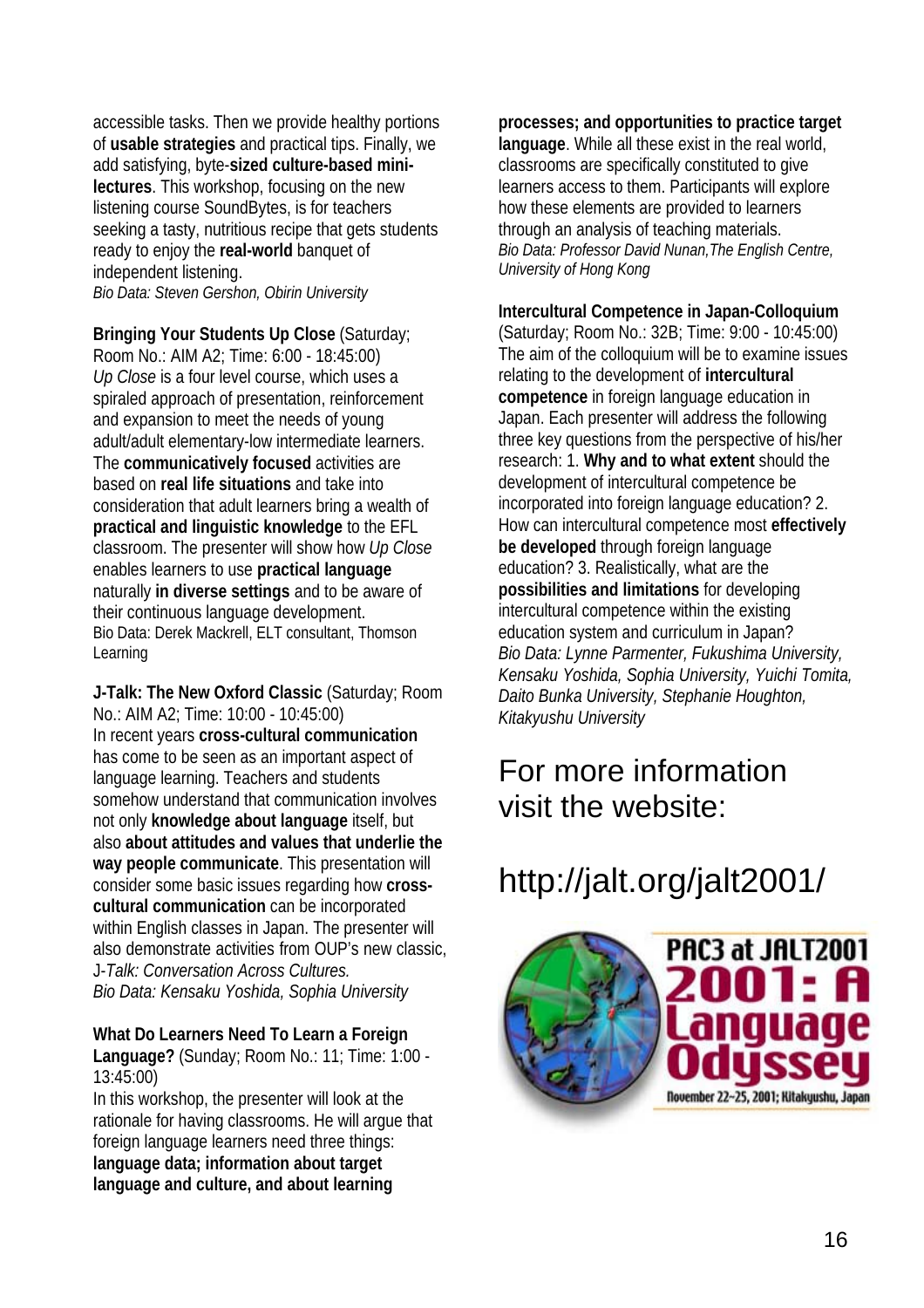accessible tasks. Then we provide healthy portions of **usable strategies** and practical tips. Finally, we add satisfying, byte-**sized culture-based minilectures**. This workshop, focusing on the new listening course SoundBytes, is for teachers seeking a tasty, nutritious recipe that gets students ready to enjoy the **real-world** banquet of independent listening.

*Bio Data: Steven Gershon, Obirin University* 

**Bringing Your Students Up Close** (Saturday; Room No.: AIM A2; Time: 6:00 - 18:45:00) *Up Close* is a four level course, which uses a spiraled approach of presentation, reinforcement and expansion to meet the needs of young adult/adult elementary-low intermediate learners. The **communicatively focused** activities are based on **real life situations** and take into consideration that adult learners bring a wealth of **practical and linguistic knowledge** to the EFL classroom. The presenter will show how *Up Close* enables learners to use **practical language** naturally **in diverse settings** and to be aware of their continuous language development. Bio Data: Derek Mackrell, ELT consultant, Thomson Learning

**J-Talk: The New Oxford Classic** (Saturday; Room No.: AIM A2; Time: 10:00 - 10:45:00) In recent years **cross-cultural communication** has come to be seen as an important aspect of language learning. Teachers and students somehow understand that communication involves not only **knowledge about language** itself, but also **about attitudes and values that underlie the way people communicate**. This presentation will consider some basic issues regarding how **crosscultural communication** can be incorporated within English classes in Japan. The presenter will also demonstrate activities from OUP's new classic, J-*Talk: Conversation Across Cultures. Bio Data: Kensaku Yoshida, Sophia University*

**What Do Learners Need To Learn a Foreign** 

**Language?** (Sunday; Room No.: 11; Time: 1:00 - 13:45:00)

In this workshop, the presenter will look at the rationale for having classrooms. He will argue that foreign language learners need three things: **language data; information about target language and culture, and about learning** 

**processes; and opportunities to practice target language**. While all these exist in the real world, classrooms are specifically constituted to give learners access to them. Participants will explore how these elements are provided to learners through an analysis of teaching materials. *Bio Data: Professor David Nunan,The English Centre, University of Hong Kong* 

#### **Intercultural Competence in Japan-Colloquium**

(Saturday; Room No.: 32B; Time: 9:00 - 10:45:00) The aim of the colloquium will be to examine issues relating to the development of **intercultural competence** in foreign language education in Japan. Each presenter will address the following three key questions from the perspective of his/her research: 1. **Why and to what extent** should the development of intercultural competence be incorporated into foreign language education? 2. How can intercultural competence most **effectively be developed** through foreign language education? 3. Realistically, what are the **possibilities and limitations** for developing intercultural competence within the existing education system and curriculum in Japan? *Bio Data: Lynne Parmenter, Fukushima University, Kensaku Yoshida, Sophia University, Yuichi Tomita, Daito Bunka University, Stephanie Houghton, Kitakyushu University* 

# For more information visit the website:

# http://jalt.org/jalt2001/

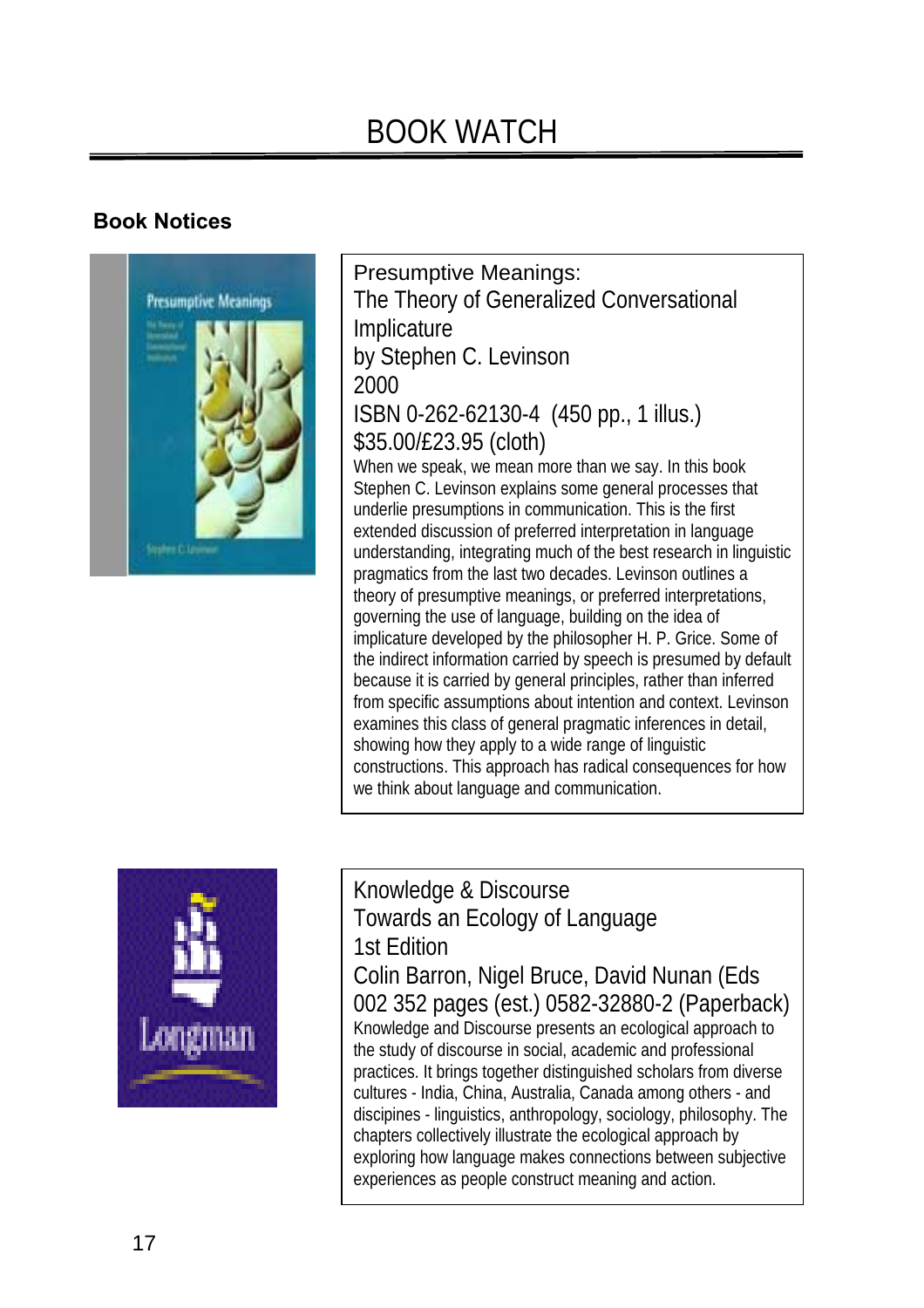# BOOK WATCH

## **Book Notices**



Presumptive Meanings: The Theory of Generalized Conversational Implicature by Stephen C. Levinson 2000 ISBN 0-262-62130-4 (450 pp., 1 illus.) \$35.00/£23.95 (cloth) When we speak, we mean more than we say. In this book Stephen C. Levinson explains some general processes that underlie presumptions in communication. This is the first extended discussion of preferred interpretation in language understanding, integrating much of the best research in linguistic pragmatics from the last two decades. Levinson outlines a theory of presumptive meanings, or preferred interpretations, governing the use of language, building on the idea of implicature developed by the philosopher H. P. Grice. Some of the indirect information carried by speech is presumed by default because it is carried by general principles, rather than inferred from specific assumptions about intention and context. Levinson examines this class of general pragmatic inferences in detail, showing how they apply to a wide range of linguistic constructions. This approach has radical consequences for how we think about language and communication.



Knowledge & Discourse Towards an Ecology of Language 1st Edition Colin Barron, Nigel Bruce, David Nunan (Eds 002 352 pages (est.) 0582-32880-2 (Paperback) Knowledge and Discourse presents an ecological approach to the study of discourse in social, academic and professional practices. It brings together distinguished scholars from diverse cultures - India, China, Australia, Canada among others - and discipines - linguistics, anthropology, sociology, philosophy. The chapters collectively illustrate the ecological approach by exploring how language makes connections between subjective experiences as people construct meaning and action.